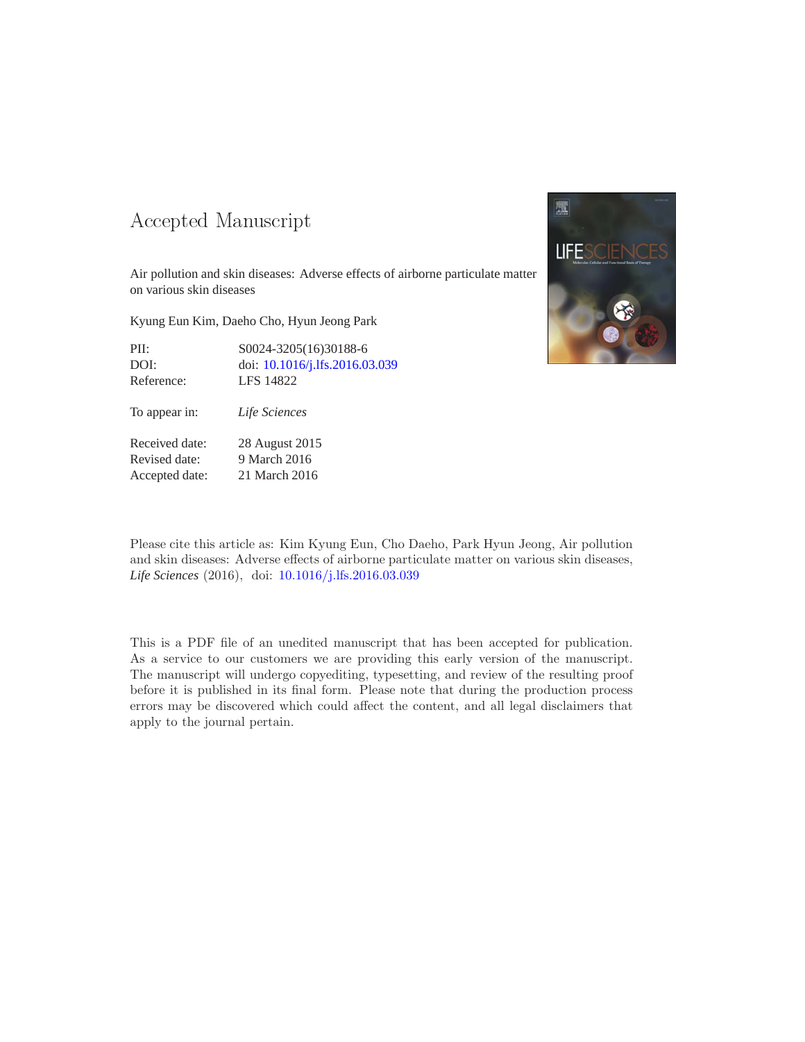#### -- -

Air pollution and skin diseases: Adverse effects of airborne particulate matter on various skin diseases

Kyung Eun Kim, Daeho Cho, Hyun Jeong Park

| PII:       | \$0024-3205(16)30188-6         |
|------------|--------------------------------|
| DOI:       | doi: 10.1016/j.lfs.2016.03.039 |
| Reference: | LFS 14822                      |

To appear in: *Life Sciences*

Received date: 28 August 2015 Revised date: 9 March 2016 Accepted date: 21 March 2016



Please cite this article as: Kim Kyung Eun, Cho Daeho, Park Hyun Jeong, Air pollution and skin diseases: Adverse effects of airborne particulate matter on various skin diseases, *Life Sciences* (2016), doi: [10.1016/j.lfs.2016.03.039](http://dx.doi.org/10.1016/j.lfs.2016.03.039)

This is a PDF file of an unedited manuscript that has been accepted for publication. As a service to our customers we are providing this early version of the manuscript. The manuscript will undergo copyediting, typesetting, and review of the resulting proof before it is published in its final form. Please note that during the production process errors may be discovered which could affect the content, and all legal disclaimers that apply to the journal pertain.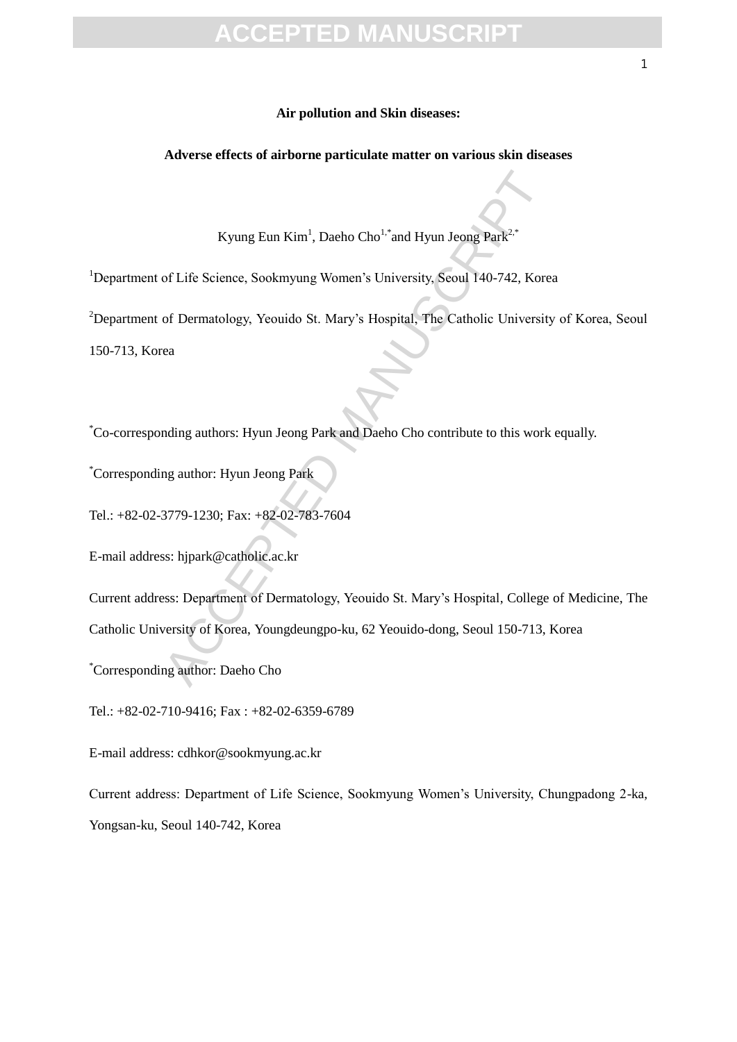#### **Air pollution and Skin diseases:**

**Adverse effects of airborne particulate matter on various skin diseases**

Kyung Eun Kim<sup>1</sup>, Daeho Cho<sup>1,\*</sup>and Hyun Jeong Park<sup>2,\*</sup>

<sup>1</sup>Department of Life Science, Sookmyung Women's University, Seoul 140-742, Korea

Kyung Eun Kim<sup>1</sup>, Daeho Cho<sup>1, \*</sup>and Hyun Jeong Park<sup>2,</sup><br>
of Life Science, Sookmyung Women's University, Seoul 140-742, Kore<br>
of Dermatology, Yeouido St. Mary's Hospital, The Catholic University<br>
ca<br>
a<br>
anding author: Hyun <sup>2</sup>Department of Dermatology, Yeouido St. Mary's Hospital, The Catholic University of Korea, Seoul 150-713, Korea

\*Co-corresponding authors: Hyun Jeong Park and Daeho Cho contribute to this work equally.

\*Corresponding author: Hyun Jeong Park

Tel.: +82-02-3779-1230; Fax: +82-02-783-7604

E-mail address: hjpark@catholic.ac.kr

Current address: Department of Dermatology, Yeouido St. Mary's Hospital, College of Medicine, The Catholic University of Korea, Youngdeungpo-ku, 62 Yeouido-dong, Seoul 150-713, Korea

\*Corresponding author: Daeho Cho

Tel.: +82-02-710-9416; Fax : +82-02-6359-6789

E-mail address: cdhkor@sookmyung.ac.kr

Current address: Department of Life Science, Sookmyung Women's University, Chungpadong 2-ka, Yongsan-ku, Seoul 140-742, Korea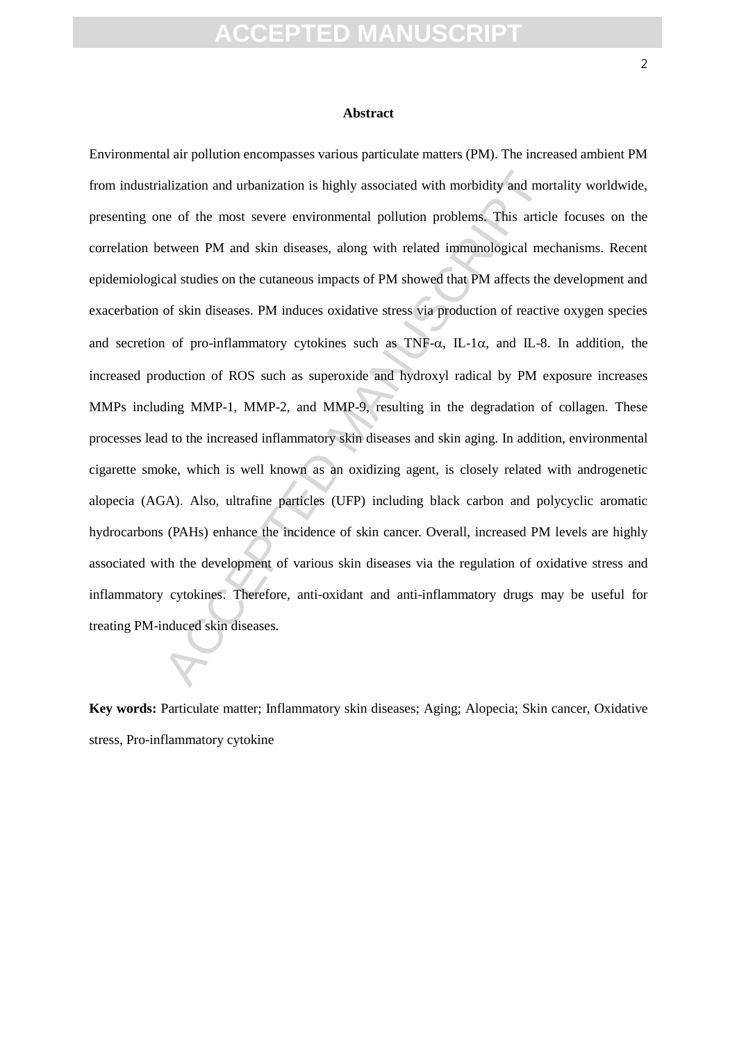#### **Abstract**

alization and urbanization is highly associated with morbidity and more of the most severe environmental pollution problems. This article<br>teveen PM and skin diseases, along with related immunological mecal studies on the c Environmental air pollution encompasses various particulate matters (PM). The increased ambient PM from industrialization and urbanization is highly associated with morbidity and mortality worldwide, presenting one of the most severe environmental pollution problems. This article focuses on the correlation between PM and skin diseases, along with related immunological mechanisms. Recent epidemiological studies on the cutaneous impacts of PM showed that PM affects the development and exacerbation of skin diseases. PM induces oxidative stress via production of reactive oxygen species and secretion of pro-inflammatory cytokines such as TNF- $\alpha$ , IL-1 $\alpha$ , and IL-8. In addition, the increased production of ROS such as superoxide and hydroxyl radical by PM exposure increases MMPs including MMP-1, MMP-2, and MMP-9, resulting in the degradation of collagen. These processes lead to the increased inflammatory skin diseases and skin aging. In addition, environmental cigarette smoke, which is well known as an oxidizing agent, is closely related with androgenetic alopecia (AGA). Also, ultrafine particles (UFP) including black carbon and polycyclic aromatic hydrocarbons (PAHs) enhance the incidence of skin cancer. Overall, increased PM levels are highly associated with the development of various skin diseases via the regulation of oxidative stress and inflammatory cytokines. Therefore, anti-oxidant and anti-inflammatory drugs may be useful for treating PM-induced skin diseases.

**Key words:** Particulate matter; Inflammatory skin diseases; Aging; Alopecia; Skin cancer, Oxidative stress, Pro-inflammatory cytokine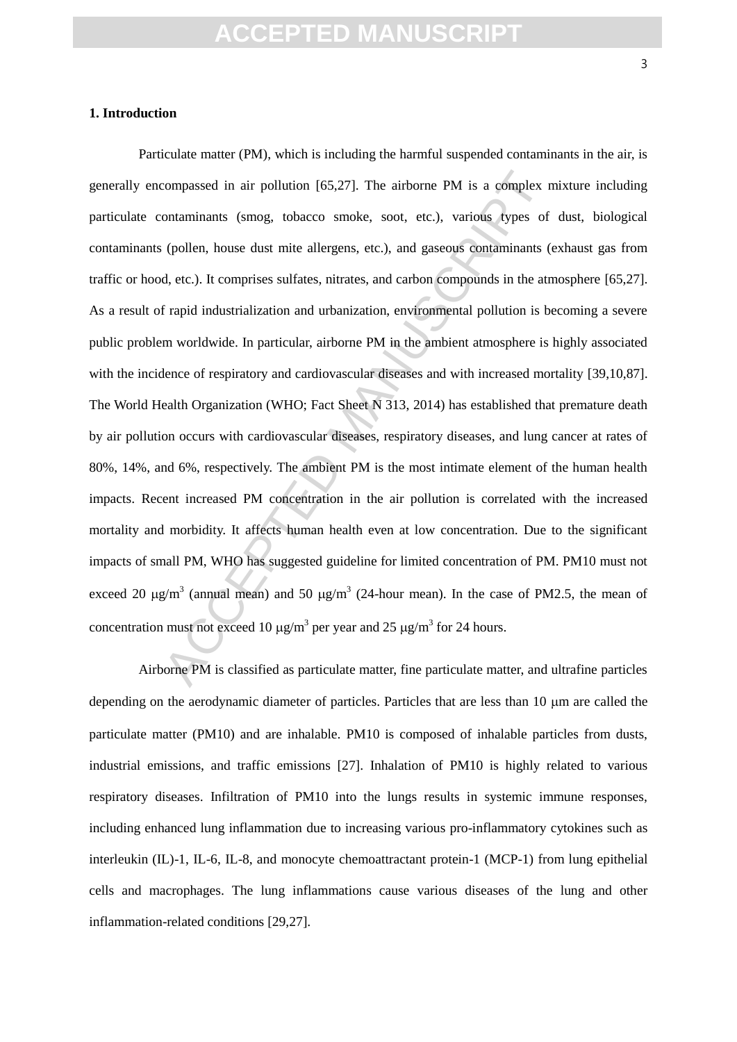#### **1. Introduction**

compassed in air pollution [65,27]. The airborne PM is a complex r<br>ontaminants (smog, tobacco smoke, soot, etc.), various types of<br>(pollen, house dust mite allergens, etc.), and gaseous contaminants (<br>d, etc.). It compris Particulate matter (PM), which is including the harmful suspended contaminants in the air, is generally encompassed in air pollution [65,27]. The airborne PM is a complex mixture including particulate contaminants (smog, tobacco smoke, soot, etc.), various types of dust, biological contaminants (pollen, house dust mite allergens, etc.), and gaseous contaminants (exhaust gas from traffic or hood, etc.). It comprises sulfates, nitrates, and carbon compounds in the atmosphere [65,27]. As a result of rapid industrialization and urbanization, environmental pollution is becoming a severe public problem worldwide. In particular, airborne PM in the ambient atmosphere is highly associated with the incidence of respiratory and cardiovascular diseases and with increased mortality [39,10,87]. The World Health Organization (WHO; Fact Sheet N 313, 2014) has established that premature death by air pollution occurs with cardiovascular diseases, respiratory diseases, and lung cancer at rates of 80%, 14%, and 6%, respectively. The ambient PM is the most intimate element of the human health impacts. Recent increased PM concentration in the air pollution is correlated with the increased mortality and morbidity. It affects human health even at low concentration. Due to the significant impacts of small PM, WHO has suggested guideline for limited concentration of PM. PM10 must not exceed 20  $\mu$ g/m<sup>3</sup> (annual mean) and 50  $\mu$ g/m<sup>3</sup> (24-hour mean). In the case of PM2.5, the mean of concentration must not exceed 10  $\mu$ g/m<sup>3</sup> per year and 25  $\mu$ g/m<sup>3</sup> for 24 hours.

Airborne PM is classified as particulate matter, fine particulate matter, and ultrafine particles depending on the aerodynamic diameter of particles. Particles that are less than 10  $\mu$ m are called the particulate matter (PM10) and are inhalable. PM10 is composed of inhalable particles from dusts, industrial emissions, and traffic emissions [27]. Inhalation of PM10 is highly related to various respiratory diseases. Infiltration of PM10 into the lungs results in systemic immune responses, including enhanced lung inflammation due to increasing various pro-inflammatory cytokines such as interleukin (IL)-1, IL-6, IL-8, and monocyte chemoattractant protein-1 (MCP-1) from lung epithelial cells and macrophages. The lung inflammations cause various diseases of the lung and other inflammation-related conditions [29,27].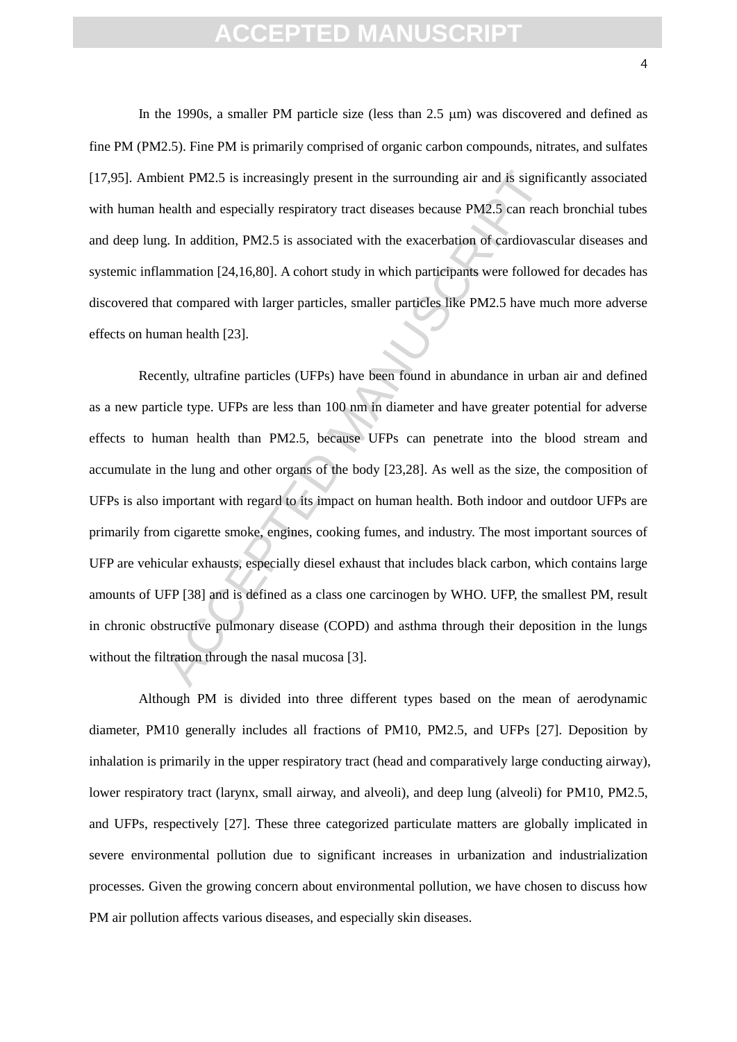In the 1990s, a smaller PM particle size (less than 2.5  $\mu$ m) was discovered and defined as fine PM (PM2.5). Fine PM is primarily comprised of organic carbon compounds, nitrates, and sulfates [17,95]. Ambient PM2.5 is increasingly present in the surrounding air and is significantly associated with human health and especially respiratory tract diseases because PM2.5 can reach bronchial tubes and deep lung. In addition, PM2.5 is associated with the exacerbation of cardiovascular diseases and systemic inflammation [24,16,80]. A cohort study in which participants were followed for decades has discovered that compared with larger particles, smaller particles like PM2.5 have much more adverse effects on human health [23].

ient PM2.5 is increasingly present in the surrounding air and is signified<br>that and especially respiratory tract diseases because PM2.5 can read<br>g. In addition, PM2.5 is associated with the exacerbation of cardiovasc<br>ammat Recently, ultrafine particles (UFPs) have been found in abundance in urban air and defined as a new particle type. UFPs are less than 100 nm in diameter and have greater potential for adverse effects to human health than PM2.5, because UFPs can penetrate into the blood stream and accumulate in the lung and other organs of the body [23,28]. As well as the size, the composition of UFPs is also important with regard to its impact on human health. Both indoor and outdoor UFPs are primarily from cigarette smoke, engines, cooking fumes, and industry. The most important sources of UFP are vehicular exhausts, especially diesel exhaust that includes black carbon, which contains large amounts of UFP [38] and is defined as a class one carcinogen by WHO. UFP, the smallest PM, result in chronic obstructive pulmonary disease (COPD) and asthma through their deposition in the lungs without the filtration through the nasal mucosa [3].

Although PM is divided into three different types based on the mean of aerodynamic diameter, PM10 generally includes all fractions of PM10, PM2.5, and UFPs [27]. Deposition by inhalation is primarily in the upper respiratory tract (head and comparatively large conducting airway), lower respiratory tract (larynx, small airway, and alveoli), and deep lung (alveoli) for PM10, PM2.5, and UFPs, respectively [27]. These three categorized particulate matters are globally implicated in severe environmental pollution due to significant increases in urbanization and industrialization processes. Given the growing concern about environmental pollution, we have chosen to discuss how PM air pollution affects various diseases, and especially skin diseases.

4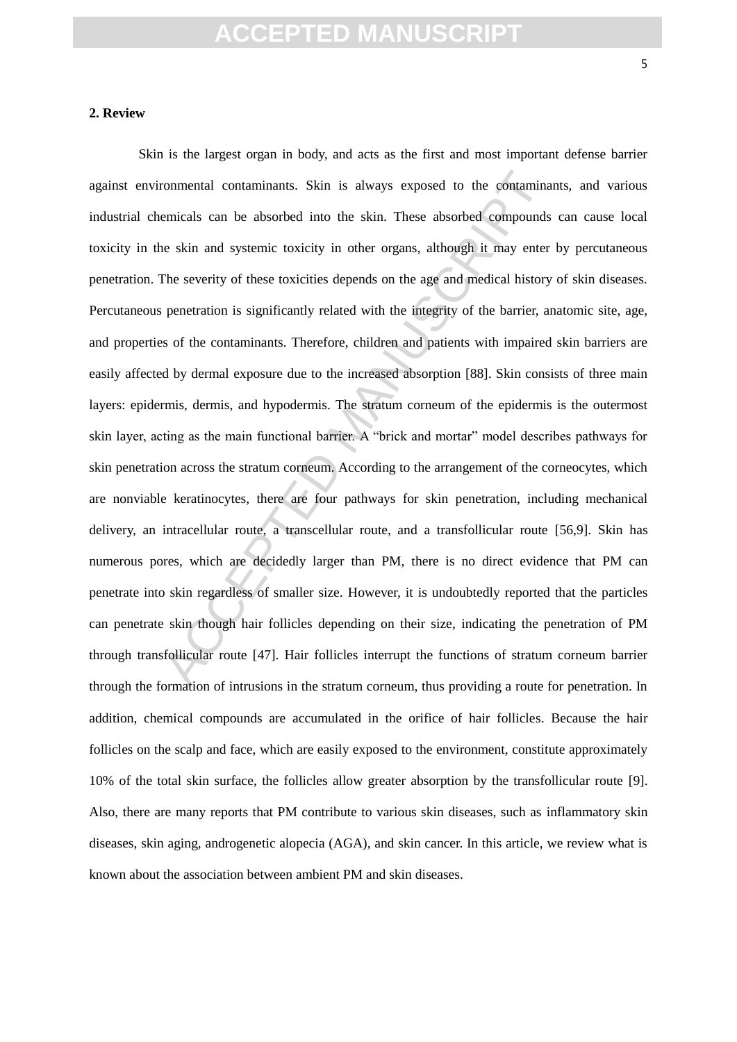#### **2. Review**

ronmental contaminants. Skin is always exposed to the contamina<br>emicals can be absorbed into the skin. These absorbed compounds<br>le skin and systemic toxicity in other organs, although it may enter<br>The severity of these tox Skin is the largest organ in body, and acts as the first and most important defense barrier against environmental contaminants. Skin is always exposed to the contaminants, and various industrial chemicals can be absorbed into the skin. These absorbed compounds can cause local toxicity in the skin and systemic toxicity in other organs, although it may enter by percutaneous penetration. The severity of these toxicities depends on the age and medical history of skin diseases. Percutaneous penetration is significantly related with the integrity of the barrier, anatomic site, age, and properties of the contaminants. Therefore, children and patients with impaired skin barriers are easily affected by dermal exposure due to the increased absorption [88]. Skin consists of three main layers: epidermis, dermis, and hypodermis. The stratum corneum of the epidermis is the outermost skin layer, acting as the main functional barrier. A "brick and mortar" model describes pathways for skin penetration across the stratum corneum. According to the arrangement of the corneocytes, which are nonviable keratinocytes, there are four pathways for skin penetration, including mechanical delivery, an intracellular route, a transcellular route, and a transfollicular route [56,9]. Skin has numerous pores, which are decidedly larger than PM, there is no direct evidence that PM can penetrate into skin regardless of smaller size. However, it is undoubtedly reported that the particles can penetrate skin though hair follicles depending on their size, indicating the penetration of PM through transfollicular route [47]. Hair follicles interrupt the functions of stratum corneum barrier through the formation of intrusions in the stratum corneum, thus providing a route for penetration. In addition, chemical compounds are accumulated in the orifice of hair follicles. Because the hair follicles on the scalp and face, which are easily exposed to the environment, constitute approximately 10% of the total skin surface, the follicles allow greater absorption by the transfollicular route [9]. Also, there are many reports that PM contribute to various skin diseases, such as inflammatory skin diseases, skin aging, androgenetic alopecia (AGA), and skin cancer. In this article, we review what is known about the association between ambient PM and skin diseases.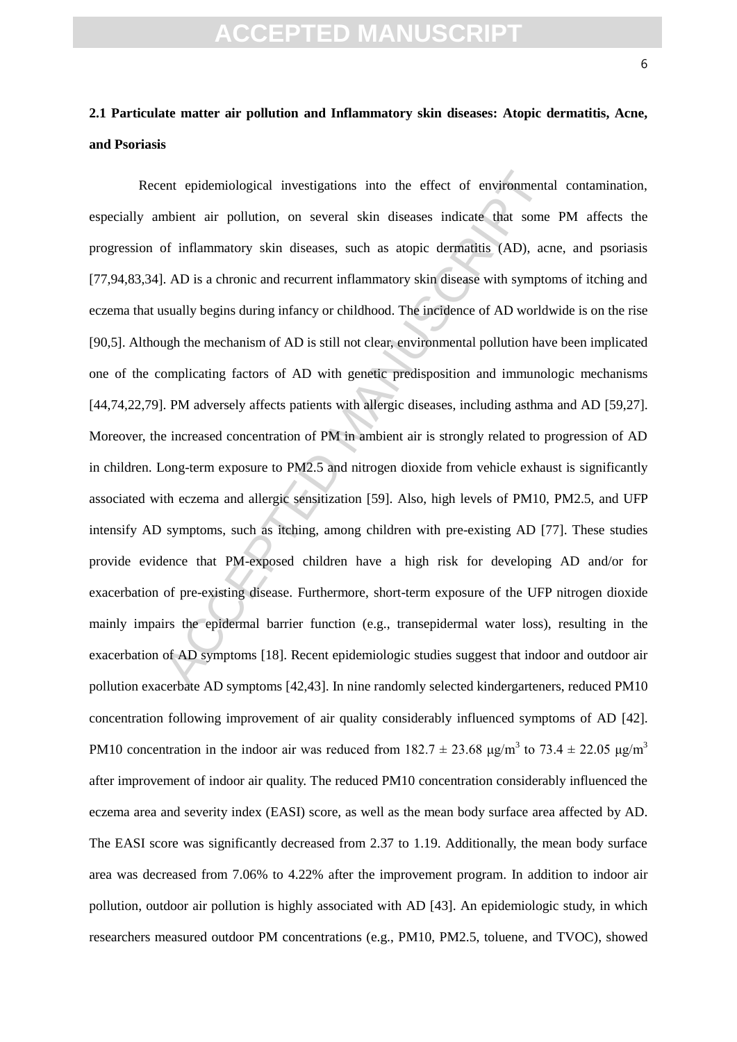#### **2.1 Particulate matter air pollution and Inflammatory skin diseases: Atopic dermatitis, Acne, and Psoriasis**

ent epidemiological investigations into the effect of environmenta<br>mbient air pollution, on several skin diseases indicate that some<br>of inflammatory skin diseases, such as atopic dermatitis (AD), act<br>AD is a chronic and re Recent epidemiological investigations into the effect of environmental contamination, especially ambient air pollution, on several skin diseases indicate that some PM affects the progression of inflammatory skin diseases, such as atopic dermatitis (AD), acne, and psoriasis [77,94,83,34]. AD is a chronic and recurrent inflammatory skin disease with symptoms of itching and eczema that usually begins during infancy or childhood. The incidence of AD worldwide is on the rise [90,5]. Although the mechanism of AD is still not clear, environmental pollution have been implicated one of the complicating factors of AD with genetic predisposition and immunologic mechanisms [44,74,22,79]. PM adversely affects patients with allergic diseases, including asthma and AD [59,27]. Moreover, the increased concentration of PM in ambient air is strongly related to progression of AD in children. Long-term exposure to PM2.5 and nitrogen dioxide from vehicle exhaust is significantly associated with eczema and allergic sensitization [59]. Also, high levels of PM10, PM2.5, and UFP intensify AD symptoms, such as itching, among children with pre-existing AD [77]. These studies provide evidence that PM-exposed children have a high risk for developing AD and/or for exacerbation of pre-existing disease. Furthermore, short-term exposure of the UFP nitrogen dioxide mainly impairs the epidermal barrier function (e.g., transepidermal water loss), resulting in the exacerbation of AD symptoms [18]. Recent epidemiologic studies suggest that indoor and outdoor air pollution exacerbate AD symptoms [42,43]. In nine randomly selected kindergarteners, reduced PM10 concentration following improvement of air quality considerably influenced symptoms of AD [42]. PM10 concentration in the indoor air was reduced from  $182.7 \pm 23.68$   $\mu$ g/m<sup>3</sup> to 73.4  $\pm$  22.05  $\mu$ g/m<sup>3</sup> after improvement of indoor air quality. The reduced PM10 concentration considerably influenced the eczema area and severity index (EASI) score, as well as the mean body surface area affected by AD. The EASI score was significantly decreased from 2.37 to 1.19. Additionally, the mean body surface area was decreased from 7.06% to 4.22% after the improvement program. In addition to indoor air pollution, outdoor air pollution is highly associated with AD [43]. An epidemiologic study, in which researchers measured outdoor PM concentrations (e.g., PM10, PM2.5, toluene, and TVOC), showed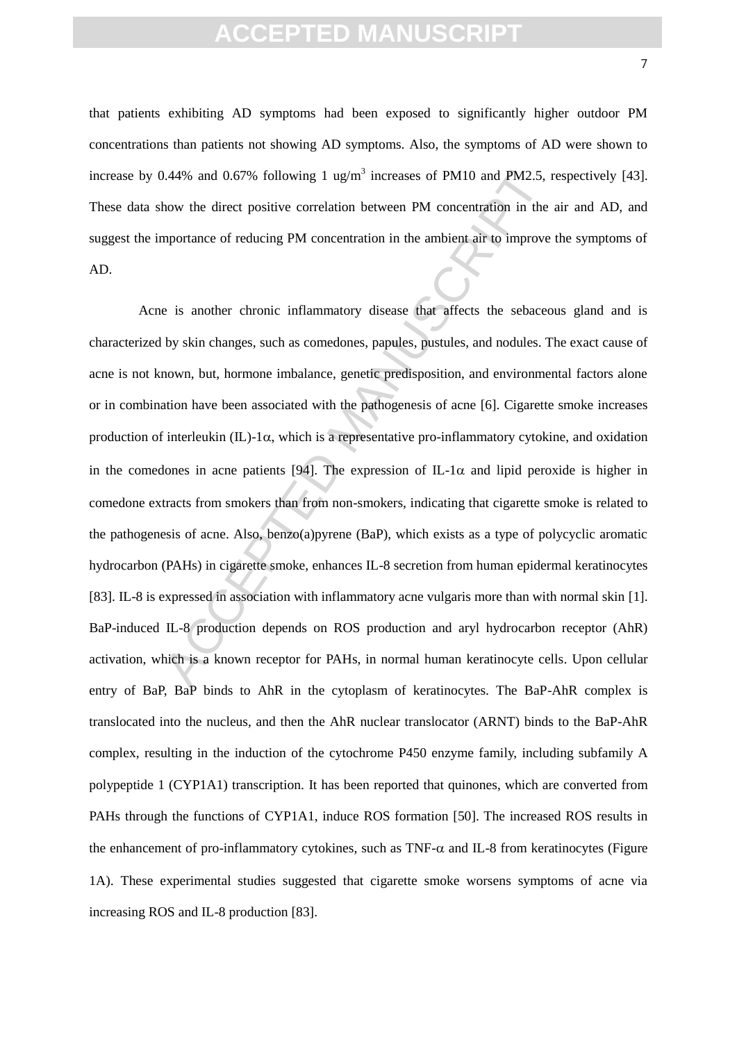that patients exhibiting AD symptoms had been exposed to significantly higher outdoor PM concentrations than patients not showing AD symptoms. Also, the symptoms of AD were shown to increase by 0.44% and 0.67% following 1 ug/m<sup>3</sup> increases of PM10 and PM2.5, respectively [43]. These data show the direct positive correlation between PM concentration in the air and AD, and suggest the importance of reducing PM concentration in the ambient air to improve the symptoms of AD.

3.44% and 0.67% following 1 ug/m<sup>3</sup> increases of PM10 and PM2.5, is<br>how the direct positive correlation between PM concentration in the<br>mportance of reducing PM concentration in the ambient air to improve<br>e is another ch Acne is another chronic inflammatory disease that affects the sebaceous gland and is characterized by skin changes, such as comedones, papules, pustules, and nodules. The exact cause of acne is not known, but, hormone imbalance, genetic predisposition, and environmental factors alone or in combination have been associated with the pathogenesis of acne [6]. Cigarette smoke increases production of interleukin  $(IL)$ -1 $\alpha$ , which is a representative pro-inflammatory cytokine, and oxidation in the comedones in acne patients [94]. The expression of IL-1 $\alpha$  and lipid peroxide is higher in comedone extracts from smokers than from non-smokers, indicating that cigarette smoke is related to the pathogenesis of acne. Also, benzo(a)pyrene (BaP), which exists as a type of polycyclic aromatic hydrocarbon (PAHs) in cigarette smoke, enhances IL-8 secretion from human epidermal keratinocytes [83]. IL-8 is expressed in association with inflammatory acne vulgaris more than with normal skin [1]. BaP-induced IL-8 production depends on ROS production and aryl hydrocarbon receptor (AhR) activation, which is a known receptor for PAHs, in normal human keratinocyte cells. Upon cellular entry of BaP, BaP binds to AhR in the cytoplasm of keratinocytes. The BaP-AhR complex is translocated into the nucleus, and then the AhR nuclear translocator (ARNT) binds to the BaP-AhR complex, resulting in the induction of the cytochrome P450 enzyme family, including subfamily A polypeptide 1 (CYP1A1) transcription. It has been reported that quinones, which are converted from PAHs through the functions of CYP1A1, induce ROS formation [50]. The increased ROS results in the enhancement of pro-inflammatory cytokines, such as  $TNF-\alpha$  and IL-8 from keratinocytes (Figure 1A). These experimental studies suggested that cigarette smoke worsens symptoms of acne via increasing ROS and IL-8 production [83].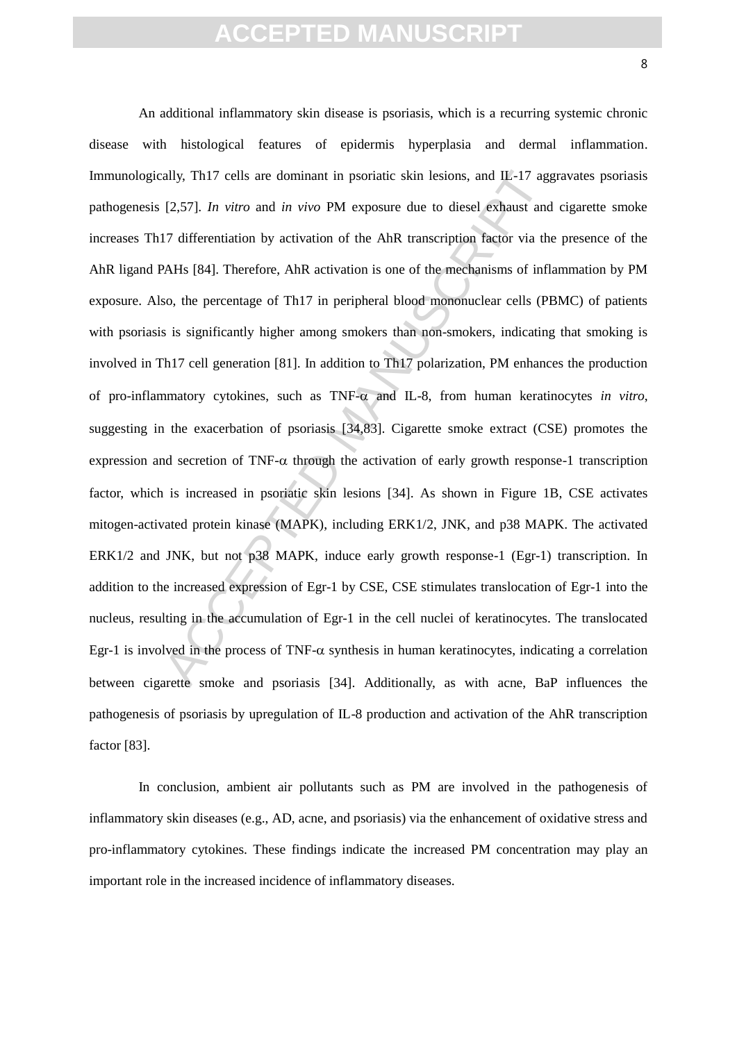ally, Th17 cells are dominant in psoriatic skin lesions, and IL-17 agg [2,57]. *In vitro* and *in vivo* PM exposure due to diesel exhaust and 17 differentiation by activation of the AhR transcription factor via the AHS [8 An additional inflammatory skin disease is psoriasis, which is a recurring systemic chronic disease with histological features of epidermis hyperplasia and dermal inflammation. Immunologically, Th17 cells are dominant in psoriatic skin lesions, and IL-17 aggravates psoriasis pathogenesis [2,57]. *In vitro* and *in vivo* PM exposure due to diesel exhaust and cigarette smoke increases Th17 differentiation by activation of the AhR transcription factor via the presence of the AhR ligand PAHs [84]. Therefore, AhR activation is one of the mechanisms of inflammation by PM exposure. Also, the percentage of Th17 in peripheral blood mononuclear cells (PBMC) of patients with psoriasis is significantly higher among smokers than non-smokers, indicating that smoking is involved in Th17 cell generation [81]. In addition to Th17 polarization, PM enhances the production of pro-inflammatory cytokines, such as  $TNF-\alpha$  and IL-8, from human keratinocytes *in vitro*, suggesting in the exacerbation of psoriasis [34,83]. Cigarette smoke extract (CSE) promotes the expression and secretion of TNF- $\alpha$  through the activation of early growth response-1 transcription factor, which is increased in psoriatic skin lesions [34]. As shown in Figure 1B, CSE activates mitogen-activated protein kinase (MAPK), including ERK1/2, JNK, and p38 MAPK. The activated ERK1/2 and JNK, but not p38 MAPK, induce early growth response-1 (Egr-1) transcription. In addition to the increased expression of Egr-1 by CSE, CSE stimulates translocation of Egr-1 into the nucleus, resulting in the accumulation of Egr-1 in the cell nuclei of keratinocytes. The translocated Egr-1 is involved in the process of TNF- $\alpha$  synthesis in human keratinocytes, indicating a correlation between cigarette smoke and psoriasis [34]. Additionally, as with acne, BaP influences the pathogenesis of psoriasis by upregulation of IL-8 production and activation of the AhR transcription factor [83].

In conclusion, ambient air pollutants such as PM are involved in the pathogenesis of inflammatory skin diseases (e.g., AD, acne, and psoriasis) via the enhancement of oxidative stress and pro-inflammatory cytokines. These findings indicate the increased PM concentration may play an important role in the increased incidence of inflammatory diseases.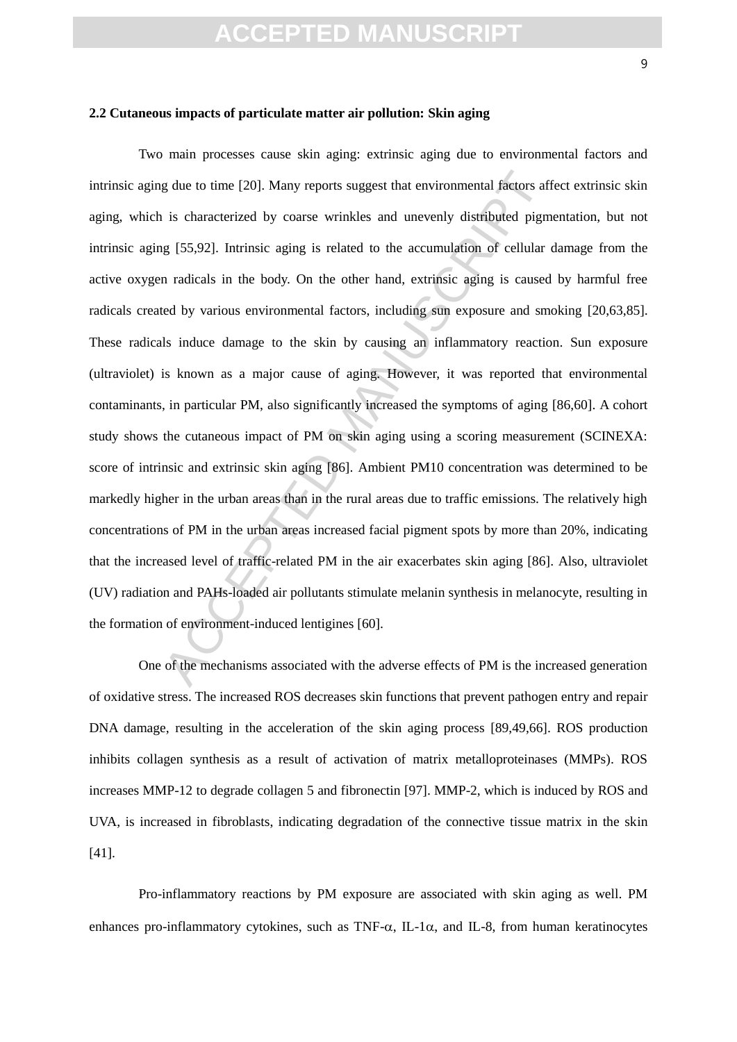#### **2.2 Cutaneous impacts of particulate matter air pollution: Skin aging**

g due to time [20]. Many reports suggest that environmental factors afficient is characterized by coarse wrinkles and unevenly distributed pigm [55,92]. Intrinsic aging is related to the accumulation of cellular on radical Two main processes cause skin aging: extrinsic aging due to environmental factors and intrinsic aging due to time [20]. Many reports suggest that environmental factors affect extrinsic skin aging, which is characterized by coarse wrinkles and unevenly distributed pigmentation, but not intrinsic aging [55,92]. Intrinsic aging is related to the accumulation of cellular damage from the active oxygen radicals in the body. On the other hand, extrinsic aging is caused by harmful free radicals created by various environmental factors, including sun exposure and smoking [20,63,85]. These radicals induce damage to the skin by causing an inflammatory reaction. Sun exposure (ultraviolet) is known as a major cause of aging. However, it was reported that environmental contaminants, in particular PM, also significantly increased the symptoms of aging [86,60]. A cohort study shows the cutaneous impact of PM on skin aging using a scoring measurement (SCINEXA: score of intrinsic and extrinsic skin aging [86]. Ambient PM10 concentration was determined to be markedly higher in the urban areas than in the rural areas due to traffic emissions. The relatively high concentrations of PM in the urban areas increased facial pigment spots by more than 20%, indicating that the increased level of traffic-related PM in the air exacerbates skin aging [86]. Also, ultraviolet (UV) radiation and PAHs-loaded air pollutants stimulate melanin synthesis in melanocyte, resulting in the formation of environment-induced lentigines [60].

One of the mechanisms associated with the adverse effects of PM is the increased generation of oxidative stress. The increased ROS decreases skin functions that prevent pathogen entry and repair DNA damage, resulting in the acceleration of the skin aging process [89,49,66]. ROS production inhibits collagen synthesis as a result of activation of matrix metalloproteinases (MMPs). ROS increases MMP-12 to degrade collagen 5 and fibronectin [97]. MMP-2, which is induced by ROS and UVA, is increased in fibroblasts, indicating degradation of the connective tissue matrix in the skin [41].

Pro-inflammatory reactions by PM exposure are associated with skin aging as well. PM enhances pro-inflammatory cytokines, such as TNF- $\alpha$ , IL-1 $\alpha$ , and IL-8, from human keratinocytes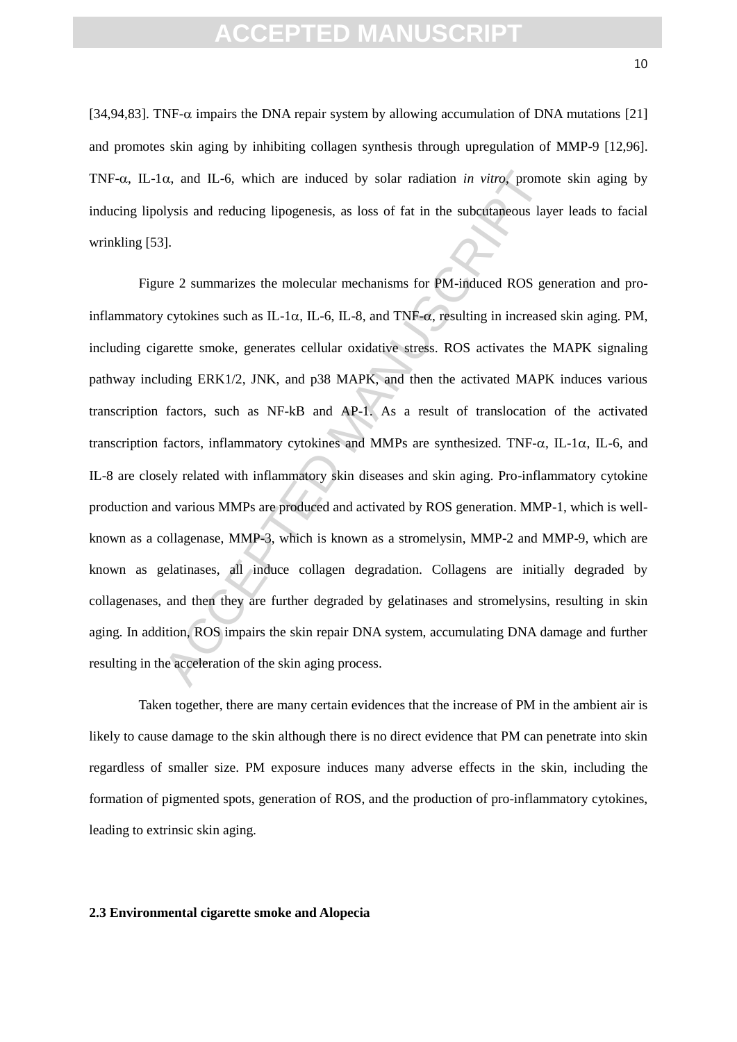[34,94,83]. TNF- $\alpha$  impairs the DNA repair system by allowing accumulation of DNA mutations [21] and promotes skin aging by inhibiting collagen synthesis through upregulation of MMP-9 [12,96]. TNF- $\alpha$ , IL-1 $\alpha$ , and IL-6, which are induced by solar radiation *in vitro*, promote skin aging by inducing lipolysis and reducing lipogenesis, as loss of fat in the subcutaneous layer leads to facial wrinkling [53].

α, and IL-6, which are induced by solar radiation *in vitro*, promordlysis and reducing lipogenesis, as loss of fat in the subcutaneous lay<br>lysis and reducing lipogenesis, as loss of fat in the subcutanceous lay<br>l).<br><br><br><br>H Figure 2 summarizes the molecular mechanisms for PM-induced ROS generation and proinflammatory cytokines such as IL-1 $\alpha$ , IL-6, IL-8, and TNF- $\alpha$ , resulting in increased skin aging. PM, including cigarette smoke, generates cellular oxidative stress. ROS activates the MAPK signaling pathway including ERK1/2, JNK, and p38 MAPK, and then the activated MAPK induces various transcription factors, such as NF-kB and AP-1. As a result of translocation of the activated transcription factors, inflammatory cytokines and MMPs are synthesized. TNF- $\alpha$ , IL-1 $\alpha$ , IL-6, and IL-8 are closely related with inflammatory skin diseases and skin aging. Pro-inflammatory cytokine production and various MMPs are produced and activated by ROS generation. MMP-1, which is wellknown as a collagenase, MMP-3, which is known as a stromelysin, MMP-2 and MMP-9, which are known as gelatinases, all induce collagen degradation. Collagens are initially degraded by collagenases, and then they are further degraded by gelatinases and stromelysins, resulting in skin aging. In addition, ROS impairs the skin repair DNA system, accumulating DNA damage and further resulting in the acceleration of the skin aging process.

Taken together, there are many certain evidences that the increase of PM in the ambient air is likely to cause damage to the skin although there is no direct evidence that PM can penetrate into skin regardless of smaller size. PM exposure induces many adverse effects in the skin, including the formation of pigmented spots, generation of ROS, and the production of pro-inflammatory cytokines, leading to extrinsic skin aging.

#### **2.3 Environmental cigarette smoke and Alopecia**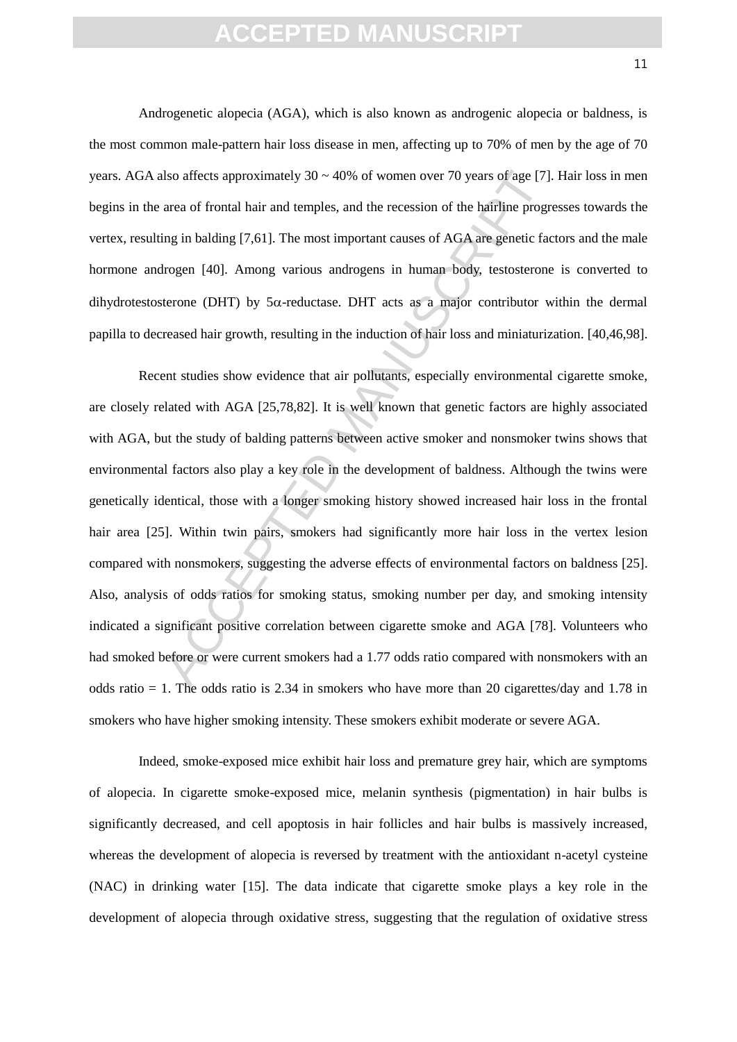Androgenetic alopecia (AGA), which is also known as androgenic alopecia or baldness, is the most common male-pattern hair loss disease in men, affecting up to 70% of men by the age of 70 years. AGA also affects approximately  $30 \sim 40\%$  of women over 70 years of age [7]. Hair loss in men begins in the area of frontal hair and temples, and the recession of the hairline progresses towards the vertex, resulting in balding [7,61]. The most important causes of AGA are genetic factors and the male hormone androgen [40]. Among various androgens in human body, testosterone is converted to dihydrotestosterone (DHT) by  $5\alpha$ -reductase. DHT acts as a major contributor within the dermal papilla to decreased hair growth, resulting in the induction of hair loss and miniaturization. [40,46,98].

also affects approximately  $30 \approx 40\%$  of women over 70 years of age [7].<br>
area of frontal hair and temples, and the recession of the hairline progr<br>
ing in balding [7,61]. The most important causes of AGA are genetic fac Recent studies show evidence that air pollutants, especially environmental cigarette smoke, are closely related with AGA [25,78,82]. It is well known that genetic factors are highly associated with AGA, but the study of balding patterns between active smoker and nonsmoker twins shows that environmental factors also play a key role in the development of baldness. Although the twins were genetically identical, those with a longer smoking history showed increased hair loss in the frontal hair area [25]. Within twin pairs, smokers had significantly more hair loss in the vertex lesion compared with nonsmokers, suggesting the adverse effects of environmental factors on baldness [25]. Also, analysis of odds ratios for smoking status, smoking number per day, and smoking intensity indicated a significant positive correlation between cigarette smoke and AGA [78]. Volunteers who had smoked before or were current smokers had a 1.77 odds ratio compared with nonsmokers with an odds ratio = 1. The odds ratio is  $2.34$  in smokers who have more than 20 cigarettes/day and 1.78 in smokers who have higher smoking intensity. These smokers exhibit moderate or severe AGA.

Indeed, smoke-exposed mice exhibit hair loss and premature grey hair, which are symptoms of alopecia. In cigarette smoke-exposed mice, melanin synthesis (pigmentation) in hair bulbs is significantly decreased, and cell apoptosis in hair follicles and hair bulbs is massively increased, whereas the development of alopecia is reversed by treatment with the antioxidant n-acetyl cysteine (NAC) in drinking water [15]. The data indicate that cigarette smoke plays a key role in the development of alopecia through oxidative stress, suggesting that the regulation of oxidative stress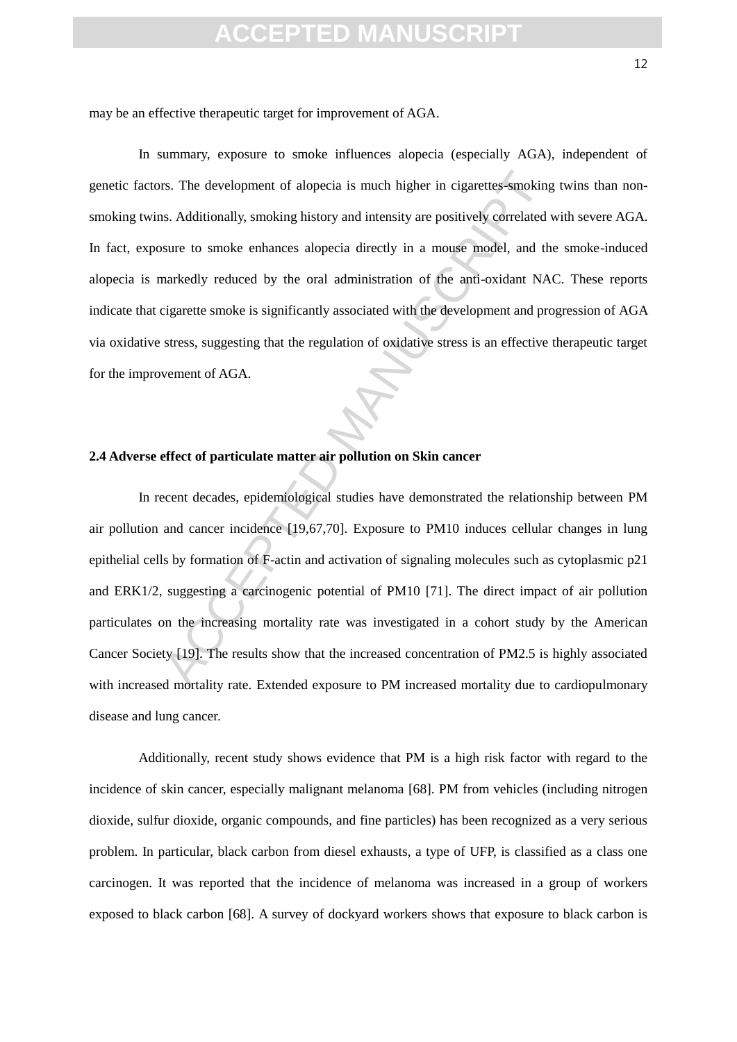may be an effective therapeutic target for improvement of AGA.

IT also development of alopecia is much higher in cigarettes-smoking<br>
I.e. Additionally, smoking history and intensity are positively correlated<br>
Susure to smoke enhances alopecia directly in a mouse model, and the<br>
Intens In summary, exposure to smoke influences alopecia (especially AGA), independent of genetic factors. The development of alopecia is much higher in cigarettes-smoking twins than nonsmoking twins. Additionally, smoking history and intensity are positively correlated with severe AGA. In fact, exposure to smoke enhances alopecia directly in a mouse model, and the smoke-induced alopecia is markedly reduced by the oral administration of the anti-oxidant NAC. These reports indicate that cigarette smoke is significantly associated with the development and progression of AGA via oxidative stress, suggesting that the regulation of oxidative stress is an effective therapeutic target for the improvement of AGA.

#### **2.4 Adverse effect of particulate matter air pollution on Skin cancer**

In recent decades, epidemiological studies have demonstrated the relationship between PM air pollution and cancer incidence [19,67,70]. Exposure to PM10 induces cellular changes in lung epithelial cells by formation of F-actin and activation of signaling molecules such as cytoplasmic p21 and ERK1/2, suggesting a carcinogenic potential of PM10 [71]. The direct impact of air pollution particulates on the increasing mortality rate was investigated in a cohort study by the American Cancer Society [19]. The results show that the increased concentration of PM2.5 is highly associated with increased mortality rate. Extended exposure to PM increased mortality due to cardiopulmonary disease and lung cancer.

Additionally, recent study shows evidence that PM is a high risk factor with regard to the incidence of skin cancer, especially malignant melanoma [68]. PM from vehicles (including nitrogen dioxide, sulfur dioxide, organic compounds, and fine particles) has been recognized as a very serious problem. In particular, black carbon from diesel exhausts, a type of UFP, is classified as a class one carcinogen. It was reported that the incidence of melanoma was increased in a group of workers exposed to black carbon [68]. A survey of dockyard workers shows that exposure to black carbon is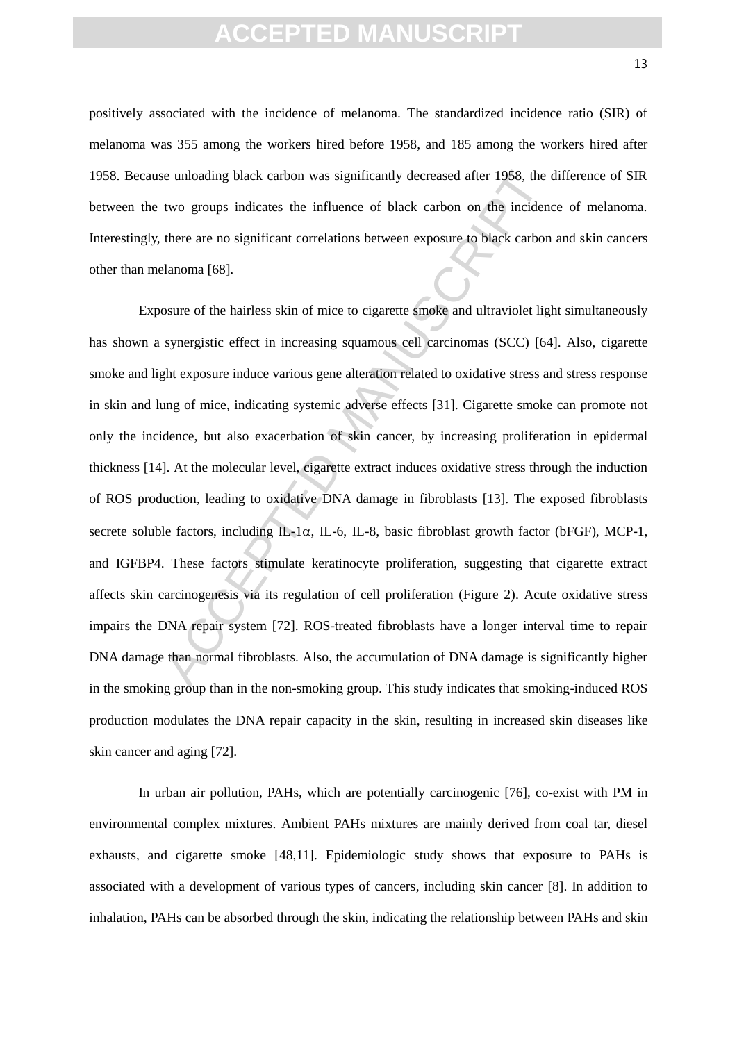positively associated with the incidence of melanoma. The standardized incidence ratio (SIR) of melanoma was 355 among the workers hired before 1958, and 185 among the workers hired after 1958. Because unloading black carbon was significantly decreased after 1958, the difference of SIR between the two groups indicates the influence of black carbon on the incidence of melanoma. Interestingly, there are no significant correlations between exposure to black carbon and skin cancers other than melanoma [68].

is unloading black carbon was significantly decreased after 1958, the ex-<br>two groups indicates the influence of black carbon on the incident<br>there are no significant correlations between exposure to black carbon<br>danoma [68 Exposure of the hairless skin of mice to cigarette smoke and ultraviolet light simultaneously has shown a synergistic effect in increasing squamous cell carcinomas (SCC) [64]. Also, cigarette smoke and light exposure induce various gene alteration related to oxidative stress and stress response in skin and lung of mice, indicating systemic adverse effects [31]. Cigarette smoke can promote not only the incidence, but also exacerbation of skin cancer, by increasing proliferation in epidermal thickness [14]. At the molecular level, cigarette extract induces oxidative stress through the induction of ROS production, leading to oxidative DNA damage in fibroblasts [13]. The exposed fibroblasts secrete soluble factors, including  $IL-1\alpha$ , IL-6, IL-8, basic fibroblast growth factor (bFGF), MCP-1, and IGFBP4. These factors stimulate keratinocyte proliferation, suggesting that cigarette extract affects skin carcinogenesis via its regulation of cell proliferation (Figure 2). Acute oxidative stress impairs the DNA repair system [72]. ROS-treated fibroblasts have a longer interval time to repair DNA damage than normal fibroblasts. Also, the accumulation of DNA damage is significantly higher in the smoking group than in the non-smoking group. This study indicates that smoking-induced ROS production modulates the DNA repair capacity in the skin, resulting in increased skin diseases like skin cancer and aging [72].

In urban air pollution, PAHs, which are potentially carcinogenic [76], co-exist with PM in environmental complex mixtures. Ambient PAHs mixtures are mainly derived from coal tar, diesel exhausts, and cigarette smoke [48,11]. Epidemiologic study shows that exposure to PAHs is associated with a development of various types of cancers, including skin cancer [8]. In addition to inhalation, PAHs can be absorbed through the skin, indicating the relationship between PAHs and skin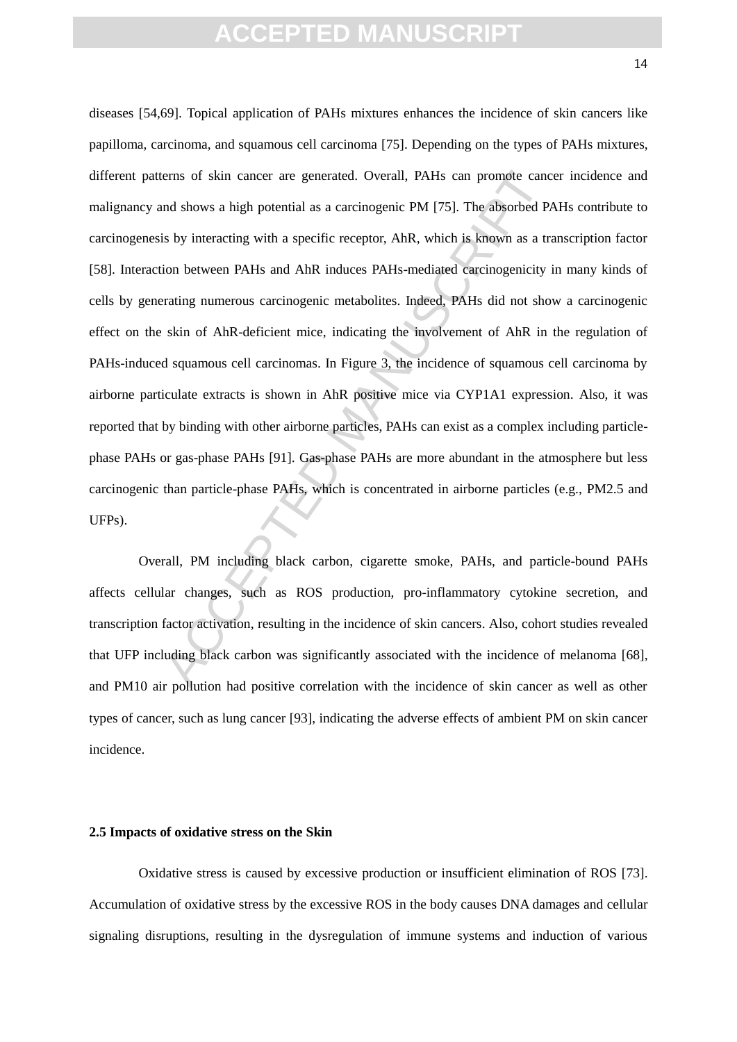rems of skin cancer are generated. Overall, PAHs can promote cance and shows a high potential as a carcinogenic PM [75]. The absorbed Pa is by interacting with a specific receptor, AhR, which is known as a trion between PA diseases [54,69]. Topical application of PAHs mixtures enhances the incidence of skin cancers like papilloma, carcinoma, and squamous cell carcinoma [75]. Depending on the types of PAHs mixtures, different patterns of skin cancer are generated. Overall, PAHs can promote cancer incidence and malignancy and shows a high potential as a carcinogenic PM [75]. The absorbed PAHs contribute to carcinogenesis by interacting with a specific receptor, AhR, which is known as a transcription factor [58]. Interaction between PAHs and AhR induces PAHs-mediated carcinogenicity in many kinds of cells by generating numerous carcinogenic metabolites. Indeed, PAHs did not show a carcinogenic effect on the skin of AhR-deficient mice, indicating the involvement of AhR in the regulation of PAHs-induced squamous cell carcinomas. In Figure 3, the incidence of squamous cell carcinoma by airborne particulate extracts is shown in AhR positive mice via CYP1A1 expression. Also, it was reported that by binding with other airborne particles, PAHs can exist as a complex including particlephase PAHs or gas-phase PAHs [91]. Gas-phase PAHs are more abundant in the atmosphere but less carcinogenic than particle-phase PAHs, which is concentrated in airborne particles (e.g., PM2.5 and UFPs).

Overall, PM including black carbon, cigarette smoke, PAHs, and particle-bound PAHs affects cellular changes, such as ROS production, pro-inflammatory cytokine secretion, and transcription factor activation, resulting in the incidence of skin cancers. Also, cohort studies revealed that UFP including black carbon was significantly associated with the incidence of melanoma [68], and PM10 air pollution had positive correlation with the incidence of skin cancer as well as other types of cancer, such as lung cancer [93], indicating the adverse effects of ambient PM on skin cancer incidence.

#### **2.5 Impacts of oxidative stress on the Skin**

Oxidative stress is caused by excessive production or insufficient elimination of ROS [73]. Accumulation of oxidative stress by the excessive ROS in the body causes DNA damages and cellular signaling disruptions, resulting in the dysregulation of immune systems and induction of various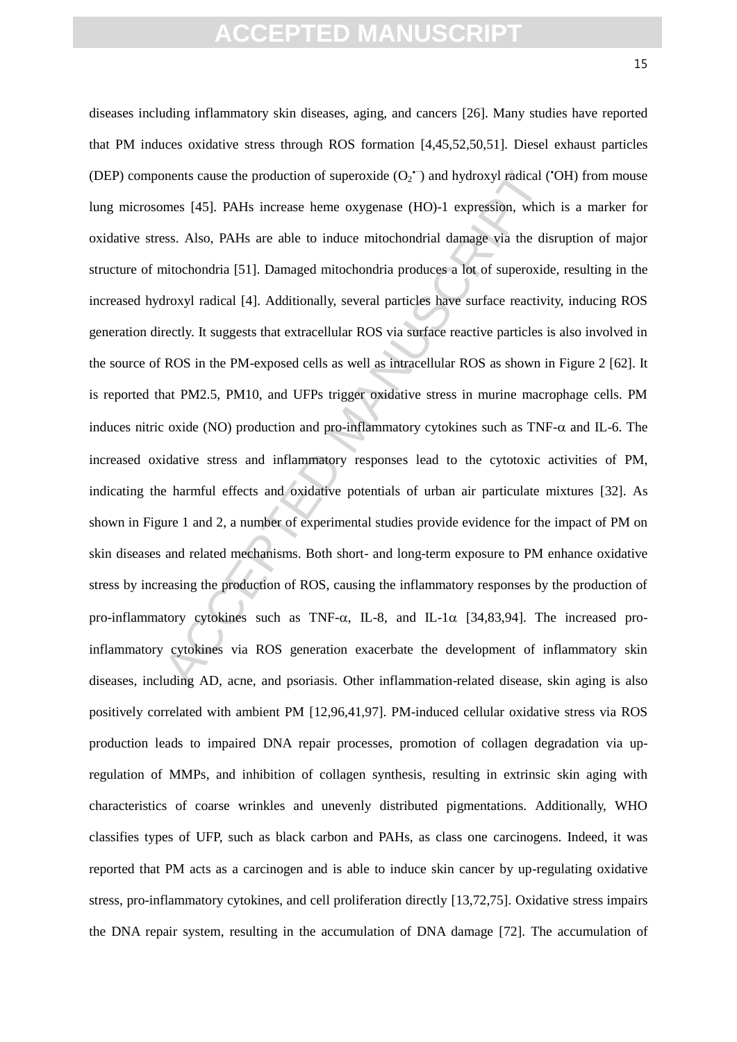onents cause the production of superoxide (O<sub>2</sub><sup>+</sup>) and hydroxyl radical (<sup>o</sup>mes [45]. PAHs increase heme oxygenase (HO)-1 expression, which<br>ess. Also, PAHs are able to induce mitochondrial damage via the dis-<br>initochondri diseases including inflammatory skin diseases, aging, and cancers [26]. Many studies have reported that PM induces oxidative stress through ROS formation [4,45,52,50,51]. Diesel exhaust particles (DEP) components cause the production of superoxide  $(O_2^{\bullet})$  and hydroxyl radical ('OH) from mouse lung microsomes [45]. PAHs increase heme oxygenase (HO)-1 expression, which is a marker for oxidative stress. Also, PAHs are able to induce mitochondrial damage via the disruption of major structure of mitochondria [51]. Damaged mitochondria produces a lot of superoxide, resulting in the increased hydroxyl radical [4]. Additionally, several particles have surface reactivity, inducing ROS generation directly. It suggests that extracellular ROS via surface reactive particles is also involved in the source of ROS in the PM-exposed cells as well as intracellular ROS as shown in Figure 2 [62]. It is reported that PM2.5, PM10, and UFPs trigger oxidative stress in murine macrophage cells. PM induces nitric oxide (NO) production and pro-inflammatory cytokines such as  $TNF-\alpha$  and IL-6. The increased oxidative stress and inflammatory responses lead to the cytotoxic activities of PM, indicating the harmful effects and oxidative potentials of urban air particulate mixtures [32]. As shown in Figure 1 and 2, a number of experimental studies provide evidence for the impact of PM on skin diseases and related mechanisms. Both short- and long-term exposure to PM enhance oxidative stress by increasing the production of ROS, causing the inflammatory responses by the production of pro-inflammatory cytokines such as TNF- $\alpha$ , IL-8, and IL-1 $\alpha$  [34,83,94]. The increased proinflammatory cytokines via ROS generation exacerbate the development of inflammatory skin diseases, including AD, acne, and psoriasis. Other inflammation-related disease, skin aging is also positively correlated with ambient PM [12,96,41,97]. PM-induced cellular oxidative stress via ROS production leads to impaired DNA repair processes, promotion of collagen degradation via upregulation of MMPs, and inhibition of collagen synthesis, resulting in extrinsic skin aging with characteristics of coarse wrinkles and unevenly distributed pigmentations. Additionally, WHO classifies types of UFP, such as black carbon and PAHs, as class one carcinogens. Indeed, it was reported that PM acts as a carcinogen and is able to induce skin cancer by up-regulating oxidative stress, pro-inflammatory cytokines, and cell proliferation directly [13,72,75]. Oxidative stress impairs the DNA repair system, resulting in the accumulation of DNA damage [72]. The accumulation of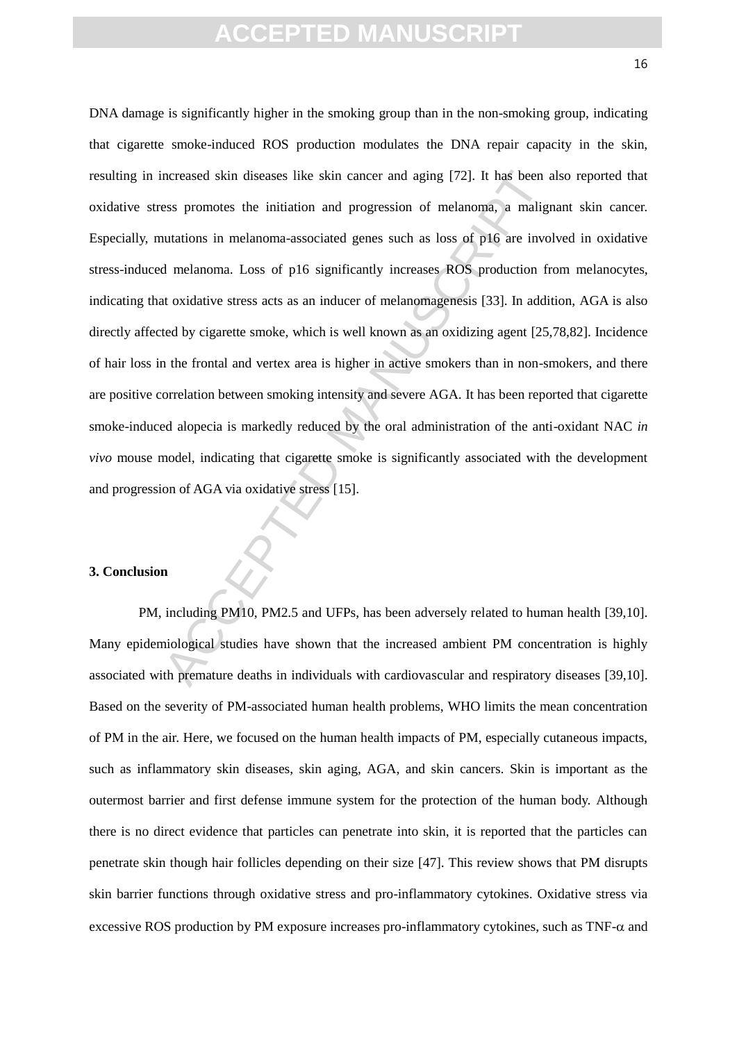ncreased skin diseases like skin cancer and aging [72]. It has been a<br>ess promotes the initiation and progression of melanoma, a maligr<br>nutations in melanoma-associated genes such as loss of p16 are invo<br>d melanoma. Loss o DNA damage is significantly higher in the smoking group than in the non-smoking group, indicating that cigarette smoke-induced ROS production modulates the DNA repair capacity in the skin, resulting in increased skin diseases like skin cancer and aging [72]. It has been also reported that oxidative stress promotes the initiation and progression of melanoma, a malignant skin cancer. Especially, mutations in melanoma-associated genes such as loss of p16 are involved in oxidative stress-induced melanoma. Loss of p16 significantly increases ROS production from melanocytes, indicating that oxidative stress acts as an inducer of melanomagenesis [33]. In addition, AGA is also directly affected by cigarette smoke, which is well known as an oxidizing agent [25,78,82]. Incidence of hair loss in the frontal and vertex area is higher in active smokers than in non-smokers, and there are positive correlation between smoking intensity and severe AGA. It has been reported that cigarette smoke-induced alopecia is markedly reduced by the oral administration of the anti-oxidant NAC *in vivo* mouse model, indicating that cigarette smoke is significantly associated with the development and progression of AGA via oxidative stress [15].

#### **3. Conclusion**

PM, including PM10, PM2.5 and UFPs, has been adversely related to human health [39,10]. Many epidemiological studies have shown that the increased ambient PM concentration is highly associated with premature deaths in individuals with cardiovascular and respiratory diseases [39,10]. Based on the severity of PM-associated human health problems, WHO limits the mean concentration of PM in the air. Here, we focused on the human health impacts of PM, especially cutaneous impacts, such as inflammatory skin diseases, skin aging, AGA, and skin cancers. Skin is important as the outermost barrier and first defense immune system for the protection of the human body. Although there is no direct evidence that particles can penetrate into skin, it is reported that the particles can penetrate skin though hair follicles depending on their size [47]. This review shows that PM disrupts skin barrier functions through oxidative stress and pro-inflammatory cytokines. Oxidative stress via excessive ROS production by PM exposure increases pro-inflammatory cytokines, such as  $TNF-\alpha$  and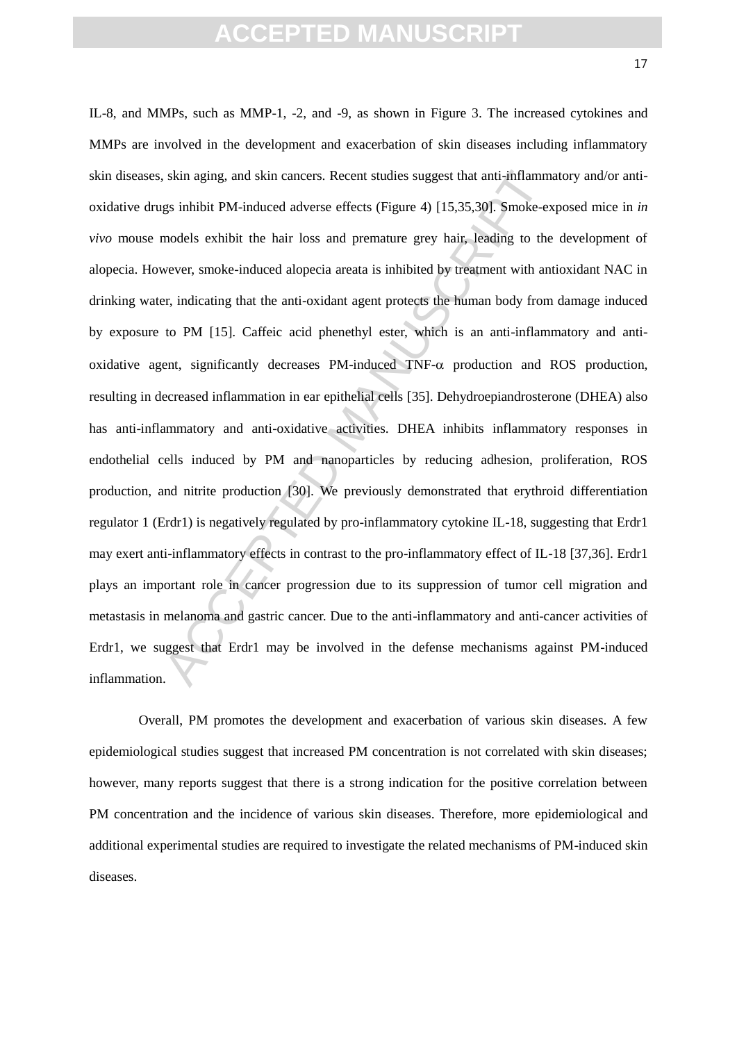s skin aging, and skin cancers. Recent studies suggest that anti-inflamm<br>gs inhibit PM-induced adverse effects (Figure 4) [15,35,30]. Smoke-exemodels exhibit the hair loss and premature grey hair, leading to the<br>wever, smo IL-8, and MMPs, such as MMP-1, -2, and -9, as shown in Figure 3. The increased cytokines and MMPs are involved in the development and exacerbation of skin diseases including inflammatory skin diseases, skin aging, and skin cancers. Recent studies suggest that anti-inflammatory and/or antioxidative drugs inhibit PM-induced adverse effects (Figure 4) [15,35,30]. Smoke-exposed mice in *in vivo* mouse models exhibit the hair loss and premature grey hair, leading to the development of alopecia. However, smoke-induced alopecia areata is inhibited by treatment with antioxidant NAC in drinking water, indicating that the anti-oxidant agent protects the human body from damage induced by exposure to PM [15]. Caffeic acid phenethyl ester, which is an anti-inflammatory and antioxidative agent, significantly decreases PM-induced TNF- $\alpha$  production and ROS production, resulting in decreased inflammation in ear epithelial cells [35]. Dehydroepiandrosterone (DHEA) also has anti-inflammatory and anti-oxidative activities. DHEA inhibits inflammatory responses in endothelial cells induced by PM and nanoparticles by reducing adhesion, proliferation, ROS production, and nitrite production [30]. We previously demonstrated that erythroid differentiation regulator 1 (Erdr1) is negatively regulated by pro-inflammatory cytokine IL-18, suggesting that Erdr1 may exert anti-inflammatory effects in contrast to the pro-inflammatory effect of IL-18 [37,36]. Erdr1 plays an important role in cancer progression due to its suppression of tumor cell migration and metastasis in melanoma and gastric cancer. Due to the anti-inflammatory and anti-cancer activities of Erdr1, we suggest that Erdr1 may be involved in the defense mechanisms against PM-induced inflammation.

Overall, PM promotes the development and exacerbation of various skin diseases. A few epidemiological studies suggest that increased PM concentration is not correlated with skin diseases; however, many reports suggest that there is a strong indication for the positive correlation between PM concentration and the incidence of various skin diseases. Therefore, more epidemiological and additional experimental studies are required to investigate the related mechanisms of PM-induced skin diseases.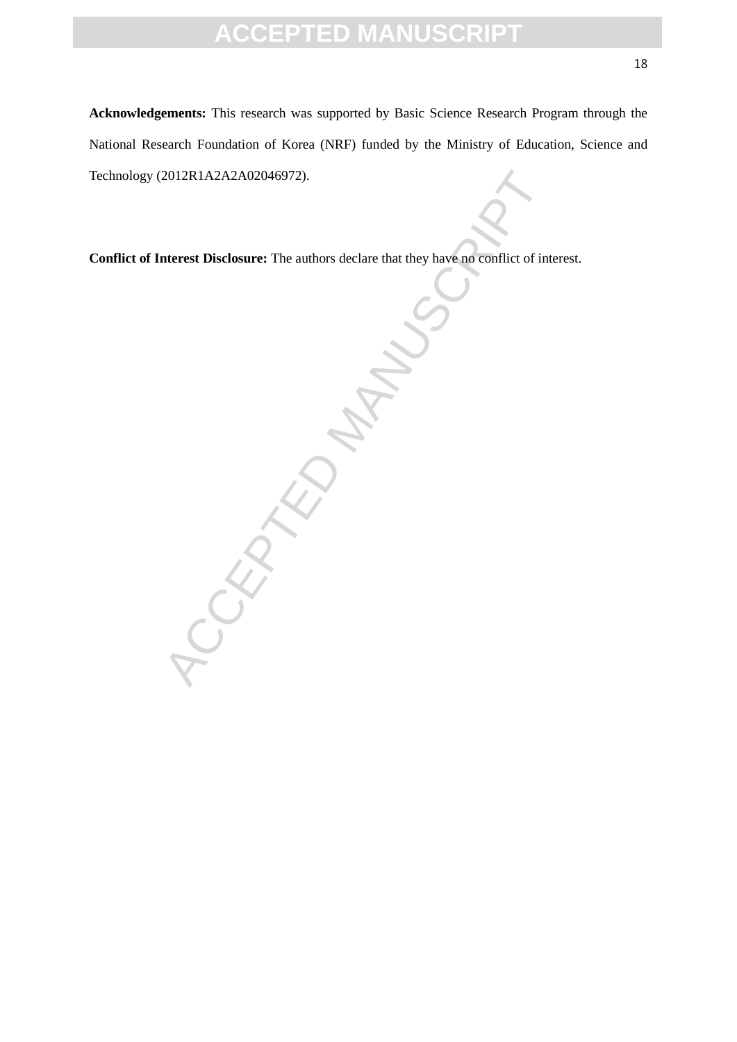**Acknowledgements:** This research was supported by Basic Science Research Program through the National Research Foundation of Korea (NRF) funded by the Ministry of Education, Science and Technology (2012R1A2A2A02046972).

**Conflict of Interest Disclosure:** The authors declare that they have no conflict of interest.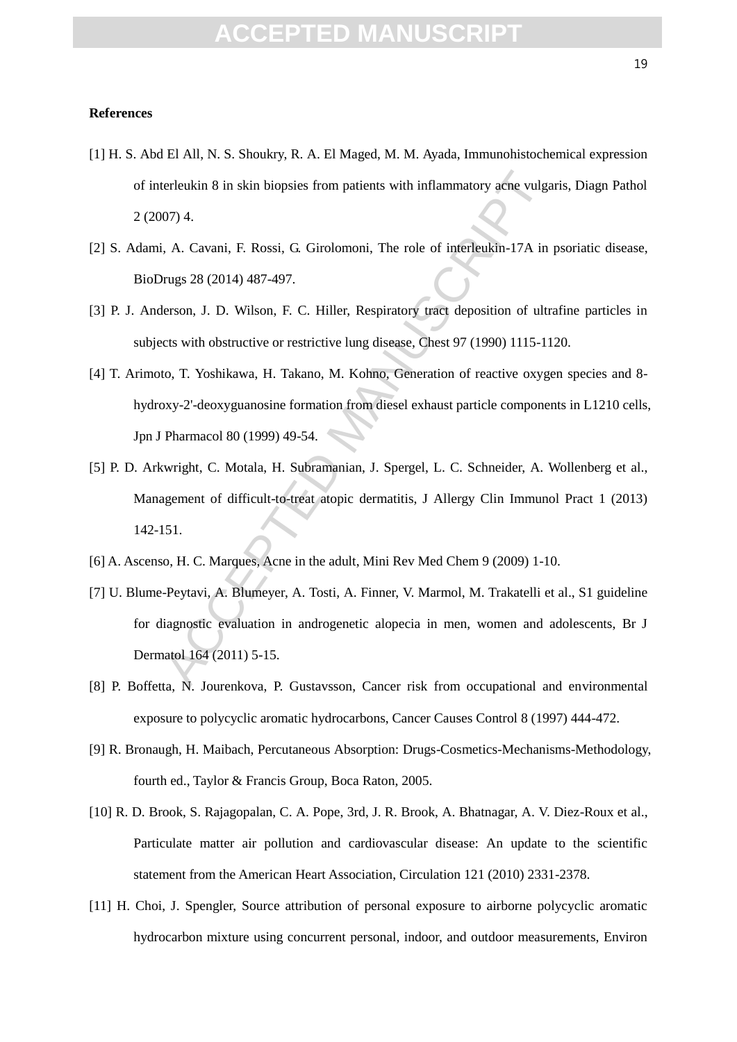#### FPTFD MANUS

#### **References**

- [1] H. S. Abd El All, N. S. Shoukry, R. A. El Maged, M. M. Ayada, Immunohistochemical expression of interleukin 8 in skin biopsies from patients with inflammatory acne vulgaris, Diagn Pathol 2 (2007) 4.
- [2] S. Adami, A. Cavani, F. Rossi, G. Girolomoni, The role of interleukin-17A in psoriatic disease, BioDrugs 28 (2014) 487-497.
- [3] P. J. Anderson, J. D. Wilson, F. C. Hiller, Respiratory tract deposition of ultrafine particles in subjects with obstructive or restrictive lung disease, Chest 97 (1990) 1115-1120.
- erleukin 8 in skin biopsies from patients with inflammatory acne vulga<br>
07) 4.<br>
i, A. Cavani, F. Rossi, G. Girolomoni, The role of interleukin-17A in<br>
rugs 28 (2014) 487-497.<br>
lerson, J. D. Wilson, F. C. Hiller, Respirator [4] T. Arimoto, T. Yoshikawa, H. Takano, M. Kohno, Generation of reactive oxygen species and 8 hydroxy-2'-deoxyguanosine formation from diesel exhaust particle components in L1210 cells, Jpn J Pharmacol 80 (1999) 49-54.
- [5] P. D. Arkwright, C. Motala, H. Subramanian, J. Spergel, L. C. Schneider, A. Wollenberg et al., Management of difficult-to-treat atopic dermatitis, J Allergy Clin Immunol Pract 1 (2013) 142-151.
- [6] A. Ascenso, H. C. Marques, Acne in the adult, Mini Rev Med Chem 9 (2009) 1-10.
- [7] U. Blume-Peytavi, A. Blumeyer, A. Tosti, A. Finner, V. Marmol, M. Trakatelli et al., S1 guideline for diagnostic evaluation in androgenetic alopecia in men, women and adolescents, Br J Dermatol 164 (2011) 5-15.
- [8] P. Boffetta, N. Jourenkova, P. Gustavsson, Cancer risk from occupational and environmental exposure to polycyclic aromatic hydrocarbons, Cancer Causes Control 8 (1997) 444-472.
- [9] R. Bronaugh, H. Maibach, Percutaneous Absorption: Drugs-Cosmetics-Mechanisms-Methodology, fourth ed., Taylor & Francis Group, Boca Raton, 2005.
- [10] R. D. Brook, S. Rajagopalan, C. A. Pope, 3rd, J. R. Brook, A. Bhatnagar, A. V. Diez-Roux et al., Particulate matter air pollution and cardiovascular disease: An update to the scientific statement from the American Heart Association, Circulation 121 (2010) 2331-2378.
- [11] H. Choi, J. Spengler, Source attribution of personal exposure to airborne polycyclic aromatic hydrocarbon mixture using concurrent personal, indoor, and outdoor measurements, Environ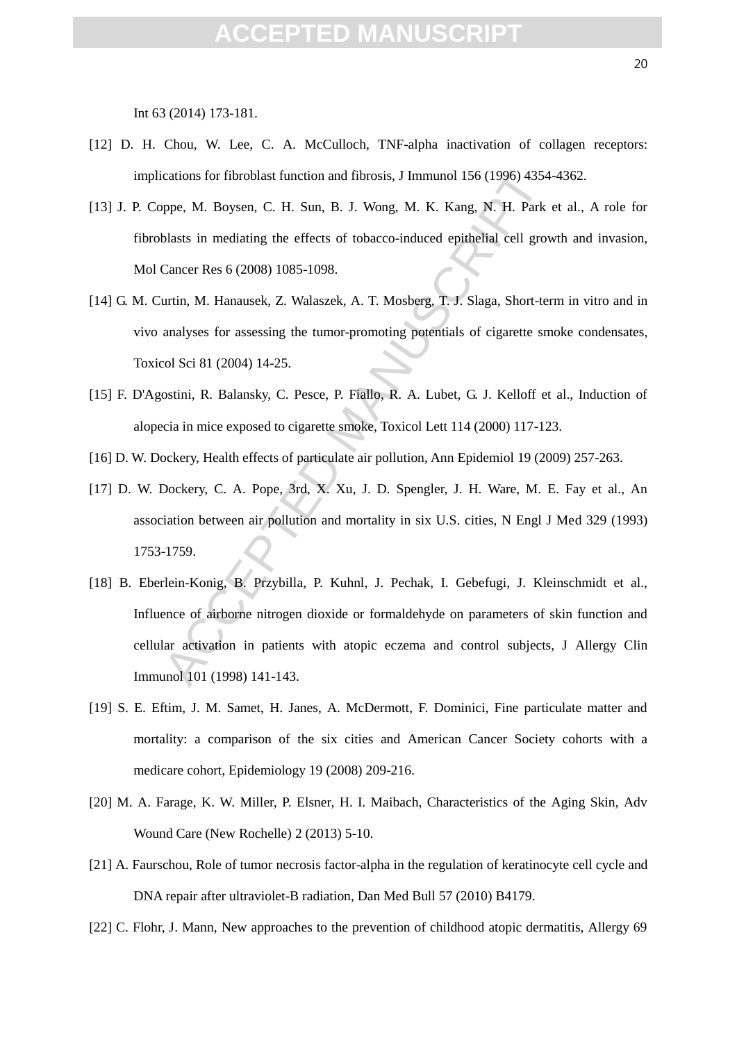Int 63 (2014) 173-181.

- [12] D. H. Chou, W. Lee, C. A. McCulloch, TNF-alpha inactivation of collagen receptors: implications for fibroblast function and fibrosis, J Immunol 156 (1996) 4354-4362.
- [13] J. P. Coppe, M. Boysen, C. H. Sun, B. J. Wong, M. K. Kang, N. H. Park et al., A role for fibroblasts in mediating the effects of tobacco-induced epithelial cell growth and invasion, Mol Cancer Res 6 (2008) 1085-1098.
- [14] G. M. Curtin, M. Hanausek, Z. Walaszek, A. T. Mosberg, T. J. Slaga, Short-term in vitro and in vivo analyses for assessing the tumor-promoting potentials of cigarette smoke condensates, Toxicol Sci 81 (2004) 14-25.
- [15] F. D'Agostini, R. Balansky, C. Pesce, P. Fiallo, R. A. Lubet, G. J. Kelloff et al., Induction of alopecia in mice exposed to cigarette smoke, Toxicol Lett 114 (2000) 117-123.
- [16] D. W. Dockery, Health effects of particulate air pollution, Ann Epidemiol 19 (2009) 257-263.
- [17] D. W. Dockery, C. A. Pope, 3rd, X. Xu, J. D. Spengler, J. H. Ware, M. E. Fay et al., An association between air pollution and mortality in six U.S. cities, N Engl J Med 329 (1993) 1753-1759.
- cations for fibroblast function and fibrosis, J Immunol 156 (1996) 4354<br>ppe, M. Boysen, C. H. Sun, B. J. Wong, M. K. Kang, N. H. Park<br>blasts in mediating the effects of tobacco-induced epithelial cell grov<br>Cancer Res 6 (20 [18] B. Eberlein-Konig, B. Przybilla, P. Kuhnl, J. Pechak, I. Gebefugi, J. Kleinschmidt et al., Influence of airborne nitrogen dioxide or formaldehyde on parameters of skin function and cellular activation in patients with atopic eczema and control subjects, J Allergy Clin Immunol 101 (1998) 141-143.
- [19] S. E. Eftim, J. M. Samet, H. Janes, A. McDermott, F. Dominici, Fine particulate matter and mortality: a comparison of the six cities and American Cancer Society cohorts with a medicare cohort, Epidemiology 19 (2008) 209-216.
- [20] M. A. Farage, K. W. Miller, P. Elsner, H. I. Maibach, Characteristics of the Aging Skin, Adv Wound Care (New Rochelle) 2 (2013) 5-10.
- [21] A. Faurschou, Role of tumor necrosis factor-alpha in the regulation of keratinocyte cell cycle and DNA repair after ultraviolet-B radiation, Dan Med Bull 57 (2010) B4179.
- [22] C. Flohr, J. Mann, New approaches to the prevention of childhood atopic dermatitis, Allergy 69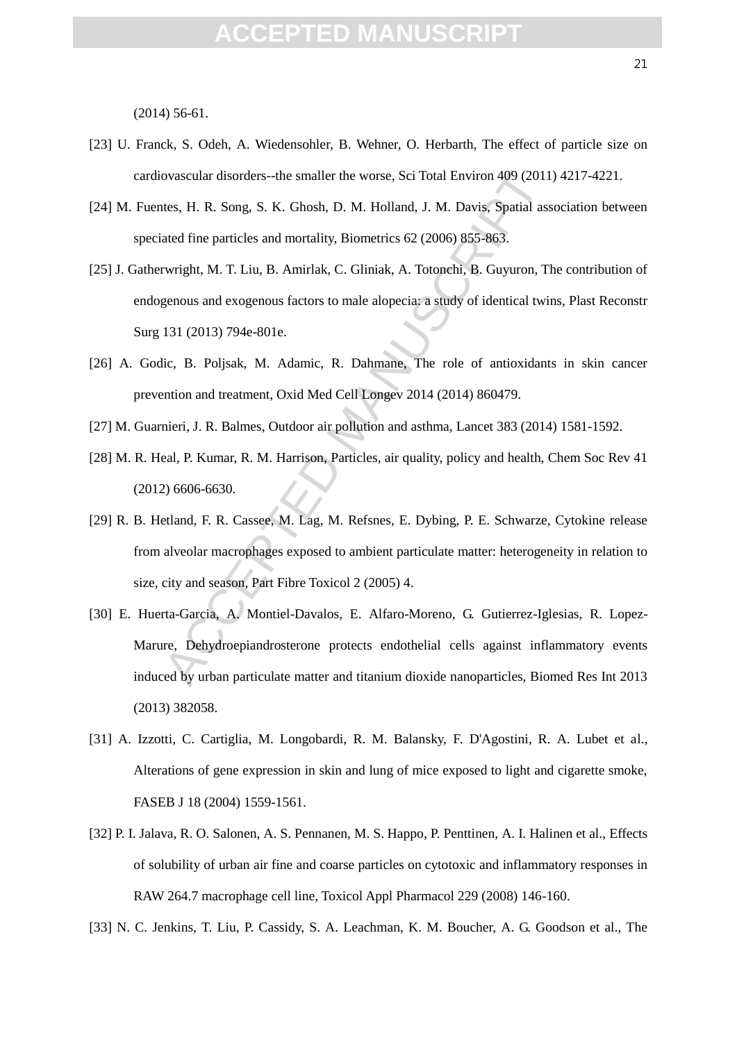(2014) 56-61.

- [23] U. Franck, S. Odeh, A. Wiedensohler, B. Wehner, O. Herbarth, The effect of particle size on cardiovascular disorders--the smaller the worse, Sci Total Environ 409 (2011) 4217-4221.
- [24] M. Fuentes, H. R. Song, S. K. Ghosh, D. M. Holland, J. M. Davis, Spatial association between speciated fine particles and mortality, Biometrics 62 (2006) 855-863.
- [25] J. Gatherwright, M. T. Liu, B. Amirlak, C. Gliniak, A. Totonchi, B. Guyuron, The contribution of endogenous and exogenous factors to male alopecia: a study of identical twins, Plast Reconstr Surg 131 (2013) 794e-801e.
- [26] A. Godic, B. Poljsak, M. Adamic, R. Dahmane, The role of antioxidants in skin cancer prevention and treatment, Oxid Med Cell Longev 2014 (2014) 860479.
- [27] M. Guarnieri, J. R. Balmes, Outdoor air pollution and asthma, Lancet 383 (2014) 1581-1592.
- [28] M. R. Heal, P. Kumar, R. M. Harrison, Particles, air quality, policy and health, Chem Soc Rev 41 (2012) 6606-6630.
- ovascular disorders--the smaller the worse, Sci Total Environ 409 (2011<br>ttes, H. R. Song, S. K. Ghosh, D. M. Holland, J. M. Davis, Spatial ass<br>ated fine particles and mortality, Biometrics 62 (2006) 855-863.<br>twright, M. T. [29] R. B. Hetland, F. R. Cassee, M. Lag, M. Refsnes, E. Dybing, P. E. Schwarze, Cytokine release from alveolar macrophages exposed to ambient particulate matter: heterogeneity in relation to size, city and season, Part Fibre Toxicol 2 (2005) 4.
- [30] E. Huerta-Garcia, A. Montiel-Davalos, E. Alfaro-Moreno, G. Gutierrez-Iglesias, R. Lopez-Marure, Dehydroepiandrosterone protects endothelial cells against inflammatory events induced by urban particulate matter and titanium dioxide nanoparticles, Biomed Res Int 2013 (2013) 382058.
- [31] A. Izzotti, C. Cartiglia, M. Longobardi, R. M. Balansky, F. D'Agostini, R. A. Lubet et al., Alterations of gene expression in skin and lung of mice exposed to light and cigarette smoke, FASEB J 18 (2004) 1559-1561.
- [32] P. I. Jalava, R. O. Salonen, A. S. Pennanen, M. S. Happo, P. Penttinen, A. I. Halinen et al., Effects of solubility of urban air fine and coarse particles on cytotoxic and inflammatory responses in RAW 264.7 macrophage cell line, Toxicol Appl Pharmacol 229 (2008) 146-160.
- [33] N. C. Jenkins, T. Liu, P. Cassidy, S. A. Leachman, K. M. Boucher, A. G. Goodson et al., The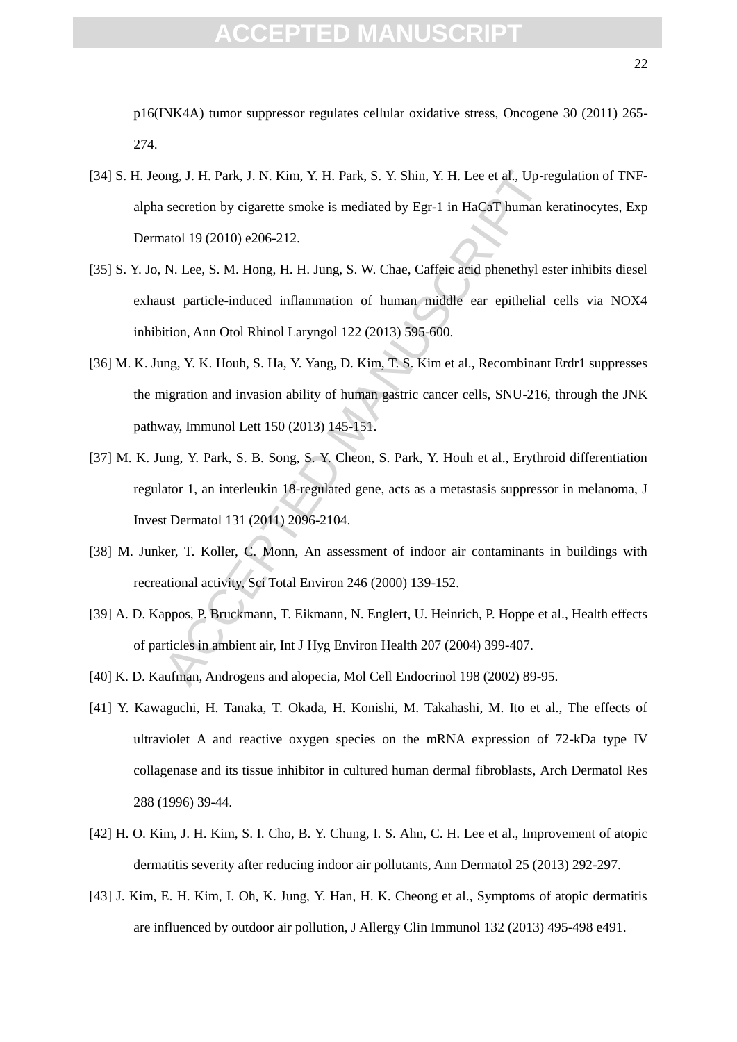p16(INK4A) tumor suppressor regulates cellular oxidative stress, Oncogene 30 (2011) 265- 274.

- [34] S. H. Jeong, J. H. Park, J. N. Kim, Y. H. Park, S. Y. Shin, Y. H. Lee et al., Up-regulation of TNFalpha secretion by cigarette smoke is mediated by Egr-1 in HaCaT human keratinocytes, Exp Dermatol 19 (2010) e206-212.
- [35] S. Y. Jo, N. Lee, S. M. Hong, H. H. Jung, S. W. Chae, Caffeic acid phenethyl ester inhibits diesel exhaust particle-induced inflammation of human middle ear epithelial cells via NOX4 inhibition, Ann Otol Rhinol Laryngol 122 (2013) 595-600.
- [36] M. K. Jung, Y. K. Houh, S. Ha, Y. Yang, D. Kim, T. S. Kim et al., Recombinant Erdr1 suppresses the migration and invasion ability of human gastric cancer cells, SNU-216, through the JNK pathway, Immunol Lett 150 (2013) 145-151.
- 1. H. Park, J. N. Kim, Y. H. Park, S. Y. Shin, Y. H. Lee et al., Up-re<br>vecretion by cigarette smoke is mediated by Egr-1 in HaCaT human k<br>atol 19 (2010) e206-212.<br>N. Lee, S. M. Hong, H. H. Jung, S. W. Chae, Caffeic acid ph [37] M. K. Jung, Y. Park, S. B. Song, S. Y. Cheon, S. Park, Y. Houh et al., Erythroid differentiation regulator 1, an interleukin 18-regulated gene, acts as a metastasis suppressor in melanoma, J Invest Dermatol 131 (2011) 2096-2104.
- [38] M. Junker, T. Koller, C. Monn, An assessment of indoor air contaminants in buildings with recreational activity, Sci Total Environ 246 (2000) 139-152.
- [39] A. D. Kappos, P. Bruckmann, T. Eikmann, N. Englert, U. Heinrich, P. Hoppe et al., Health effects of particles in ambient air, Int J Hyg Environ Health 207 (2004) 399-407.
- [40] K. D. Kaufman, Androgens and alopecia, Mol Cell Endocrinol 198 (2002) 89-95.
- [41] Y. Kawaguchi, H. Tanaka, T. Okada, H. Konishi, M. Takahashi, M. Ito et al., The effects of ultraviolet A and reactive oxygen species on the mRNA expression of 72-kDa type IV collagenase and its tissue inhibitor in cultured human dermal fibroblasts, Arch Dermatol Res 288 (1996) 39-44.
- [42] H. O. Kim, J. H. Kim, S. I. Cho, B. Y. Chung, I. S. Ahn, C. H. Lee et al., Improvement of atopic dermatitis severity after reducing indoor air pollutants, Ann Dermatol 25 (2013) 292-297.
- [43] J. Kim, E. H. Kim, I. Oh, K. Jung, Y. Han, H. K. Cheong et al., Symptoms of atopic dermatitis are influenced by outdoor air pollution, J Allergy Clin Immunol 132 (2013) 495-498 e491.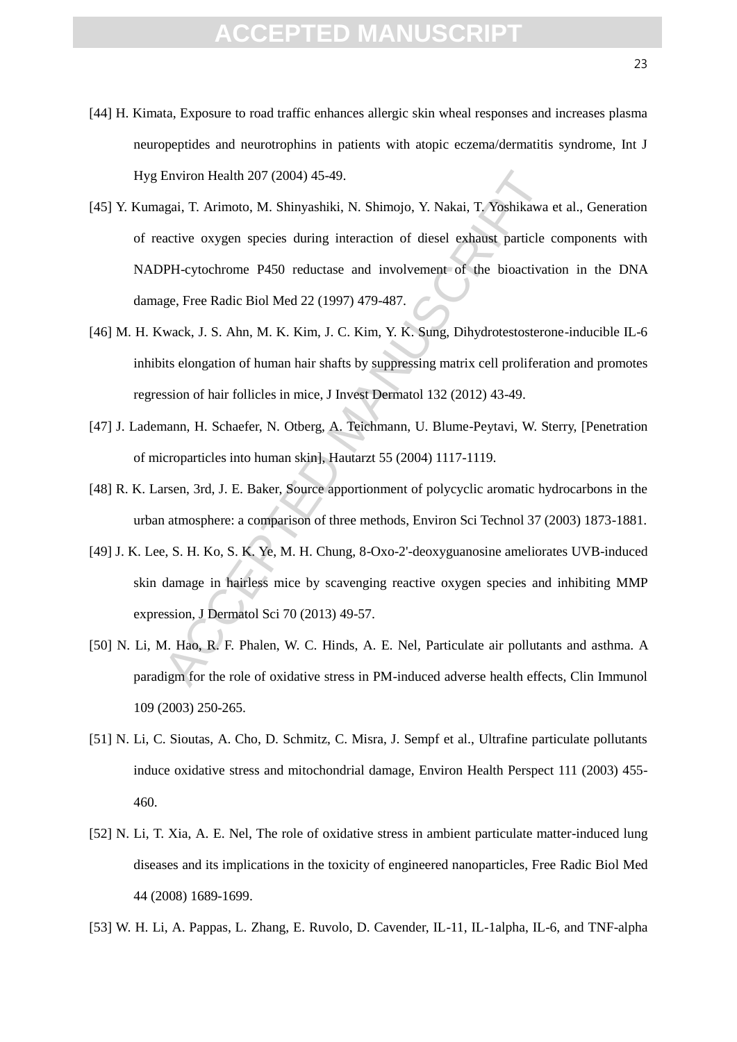- [44] H. Kimata, Exposure to road traffic enhances allergic skin wheal responses and increases plasma neuropeptides and neurotrophins in patients with atopic eczema/dermatitis syndrome, Int J Hyg Environ Health 207 (2004) 45-49.
- Environ Health 207 (2004) 45-49.<br>
agai, T. Arimoto, M. Shinyashiki, N. Shimojo, Y. Nakai, T. Yoshikawa<br>
active oxygen species during interaction of diesel exhaust particle de<br>
PPH-cytochrome P450 reductase and involvement [45] Y. Kumagai, T. Arimoto, M. Shinyashiki, N. Shimojo, Y. Nakai, T. Yoshikawa et al., Generation of reactive oxygen species during interaction of diesel exhaust particle components with NADPH-cytochrome P450 reductase and involvement of the bioactivation in the DNA damage, Free Radic Biol Med 22 (1997) 479-487.
- [46] M. H. Kwack, J. S. Ahn, M. K. Kim, J. C. Kim, Y. K. Sung, Dihydrotestosterone-inducible IL-6 inhibits elongation of human hair shafts by suppressing matrix cell proliferation and promotes regression of hair follicles in mice, J Invest Dermatol 132 (2012) 43-49.
- [47] J. Lademann, H. Schaefer, N. Otberg, A. Teichmann, U. Blume-Peytavi, W. Sterry, [Penetration of microparticles into human skin], Hautarzt 55 (2004) 1117-1119.
- [48] R. K. Larsen, 3rd, J. E. Baker, Source apportionment of polycyclic aromatic hydrocarbons in the urban atmosphere: a comparison of three methods, Environ Sci Technol 37 (2003) 1873-1881.
- [49] J. K. Lee, S. H. Ko, S. K. Ye, M. H. Chung, 8-Oxo-2'-deoxyguanosine ameliorates UVB-induced skin damage in hairless mice by scavenging reactive oxygen species and inhibiting MMP expression, J Dermatol Sci 70 (2013) 49-57.
- [50] N. Li, M. Hao, R. F. Phalen, W. C. Hinds, A. E. Nel, Particulate air pollutants and asthma. A paradigm for the role of oxidative stress in PM-induced adverse health effects, Clin Immunol 109 (2003) 250-265.
- [51] N. Li, C. Sioutas, A. Cho, D. Schmitz, C. Misra, J. Sempf et al., Ultrafine particulate pollutants induce oxidative stress and mitochondrial damage, Environ Health Perspect 111 (2003) 455- 460.
- [52] N. Li, T. Xia, A. E. Nel, The role of oxidative stress in ambient particulate matter-induced lung diseases and its implications in the toxicity of engineered nanoparticles, Free Radic Biol Med 44 (2008) 1689-1699.
- [53] W. H. Li, A. Pappas, L. Zhang, E. Ruvolo, D. Cavender, IL-11, IL-1alpha, IL-6, and TNF-alpha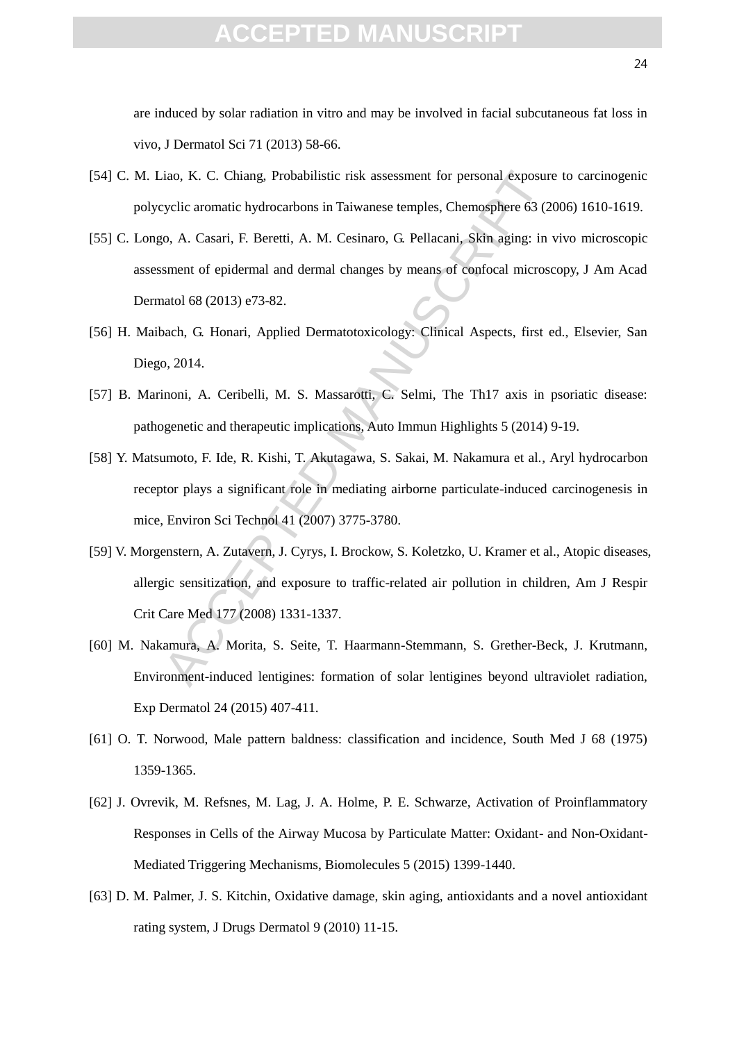are induced by solar radiation in vitro and may be involved in facial subcutaneous fat loss in vivo, J Dermatol Sci 71 (2013) 58-66.

- [54] C. M. Liao, K. C. Chiang, Probabilistic risk assessment for personal exposure to carcinogenic polycyclic aromatic hydrocarbons in Taiwanese temples, Chemosphere 63 (2006) 1610-1619.
- [55] C. Longo, A. Casari, F. Beretti, A. M. Cesinaro, G. Pellacani, Skin aging: in vivo microscopic assessment of epidermal and dermal changes by means of confocal microscopy, J Am Acad Dermatol 68 (2013) e73-82.
- [56] H. Maibach, G. Honari, Applied Dermatotoxicology: Clinical Aspects, first ed., Elsevier, San Diego, 2014.
- [57] B. Marinoni, A. Ceribelli, M. S. Massarotti, C. Selmi, The Th17 axis in psoriatic disease: pathogenetic and therapeutic implications, Auto Immun Highlights 5 (2014) 9-19.
- [58] Y. Matsumoto, F. Ide, R. Kishi, T. Akutagawa, S. Sakai, M. Nakamura et al., Aryl hydrocarbon receptor plays a significant role in mediating airborne particulate-induced carcinogenesis in mice, Environ Sci Technol 41 (2007) 3775-3780.
- iao, K. C. Chiang, Probabilistic risk assessment for personal exposure<br>yclic aromatic hydrocarbons in Taiwanese temples, Chemosphere 63 (2<br>6, A. Casari, F. Beretti, A. M. Cesinaro, G. Pellacani, Skin aging: in<br>sment of epi [59] V. Morgenstern, A. Zutavern, J. Cyrys, I. Brockow, S. Koletzko, U. Kramer et al., Atopic diseases, allergic sensitization, and exposure to traffic-related air pollution in children, Am J Respir Crit Care Med 177 (2008) 1331-1337.
- [60] M. Nakamura, A. Morita, S. Seite, T. Haarmann-Stemmann, S. Grether-Beck, J. Krutmann, Environment-induced lentigines: formation of solar lentigines beyond ultraviolet radiation, Exp Dermatol 24 (2015) 407-411.
- [61] O. T. Norwood, Male pattern baldness: classification and incidence, South Med J 68 (1975) 1359-1365.
- [62] J. Ovrevik, M. Refsnes, M. Lag, J. A. Holme, P. E. Schwarze, Activation of Proinflammatory Responses in Cells of the Airway Mucosa by Particulate Matter: Oxidant- and Non-Oxidant-Mediated Triggering Mechanisms, Biomolecules 5 (2015) 1399-1440.
- [63] D. M. Palmer, J. S. Kitchin, Oxidative damage, skin aging, antioxidants and a novel antioxidant rating system, J Drugs Dermatol 9 (2010) 11-15.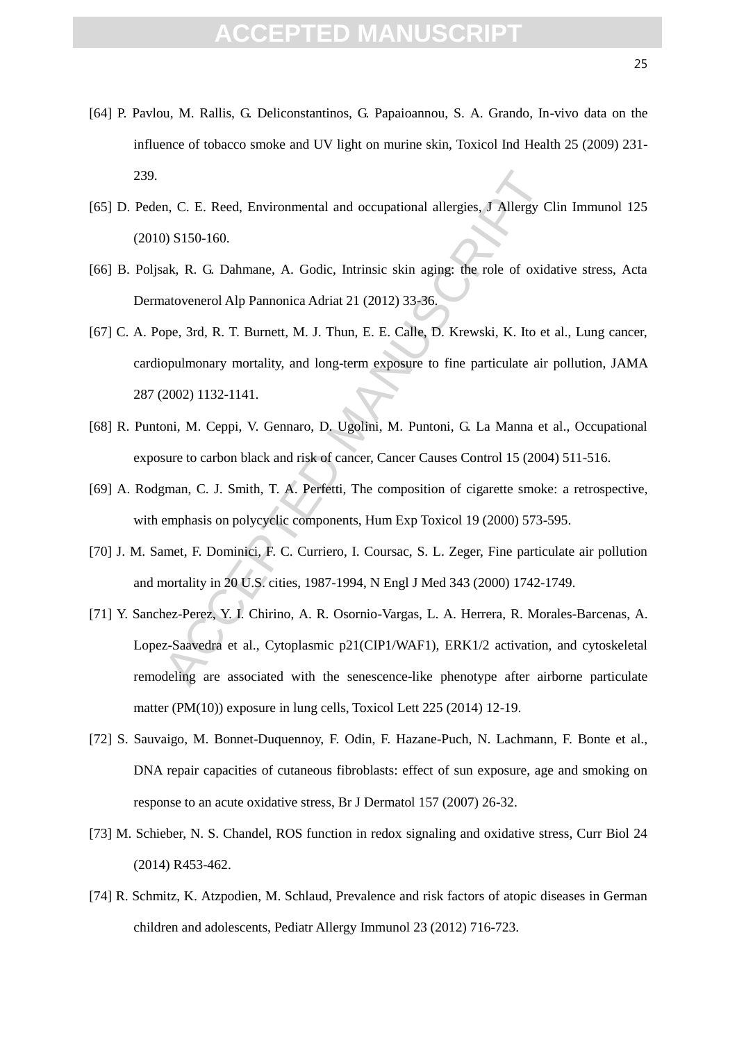- [64] P. Pavlou, M. Rallis, G. Deliconstantinos, G. Papaioannou, S. A. Grando, In-vivo data on the influence of tobacco smoke and UV light on murine skin, Toxicol Ind Health 25 (2009) 231- 239.
- [65] D. Peden, C. E. Reed, Environmental and occupational allergies, J Allergy Clin Immunol 125 (2010) S150-160.
- [66] B. Poljsak, R. G. Dahmane, A. Godic, Intrinsic skin aging: the role of oxidative stress, Acta Dermatovenerol Alp Pannonica Adriat 21 (2012) 33-36.
- [67] C. A. Pope, 3rd, R. T. Burnett, M. J. Thun, E. E. Calle, D. Krewski, K. Ito et al., Lung cancer, cardiopulmonary mortality, and long-term exposure to fine particulate air pollution, JAMA 287 (2002) 1132-1141.
- [68] R. Puntoni, M. Ceppi, V. Gennaro, D. Ugolini, M. Puntoni, G. La Manna et al., Occupational exposure to carbon black and risk of cancer, Cancer Causes Control 15 (2004) 511-516.
- [69] A. Rodgman, C. J. Smith, T. A. Perfetti, The composition of cigarette smoke: a retrospective, with emphasis on polycyclic components, Hum Exp Toxicol 19 (2000) 573-595.
- [70] J. M. Samet, F. Dominici, F. C. Curriero, I. Coursac, S. L. Zeger, Fine particulate air pollution and mortality in 20 U.S. cities, 1987-1994, N Engl J Med 343 (2000) 1742-1749.
- n, C. E. Reed, Environmental and occupational allergies, J Allergy C<br>
2018 (18) S150-160.<br>
2018 (ak, R. G. Dahmane, A. Godic, Intrinsic skin aging: the role of oxidiato<br>
2018 (ak) and the paramonica Adriat 21 (2012) 33-36. [71] Y. Sanchez-Perez, Y. I. Chirino, A. R. Osornio-Vargas, L. A. Herrera, R. Morales-Barcenas, A. Lopez-Saavedra et al., Cytoplasmic p21(CIP1/WAF1), ERK1/2 activation, and cytoskeletal remodeling are associated with the senescence-like phenotype after airborne particulate matter (PM(10)) exposure in lung cells, Toxicol Lett 225 (2014) 12-19.
- [72] S. Sauvaigo, M. Bonnet-Duquennoy, F. Odin, F. Hazane-Puch, N. Lachmann, F. Bonte et al., DNA repair capacities of cutaneous fibroblasts: effect of sun exposure, age and smoking on response to an acute oxidative stress, Br J Dermatol 157 (2007) 26-32.
- [73] M. Schieber, N. S. Chandel, ROS function in redox signaling and oxidative stress, Curr Biol 24 (2014) R453-462.
- [74] R. Schmitz, K. Atzpodien, M. Schlaud, Prevalence and risk factors of atopic diseases in German children and adolescents, Pediatr Allergy Immunol 23 (2012) 716-723.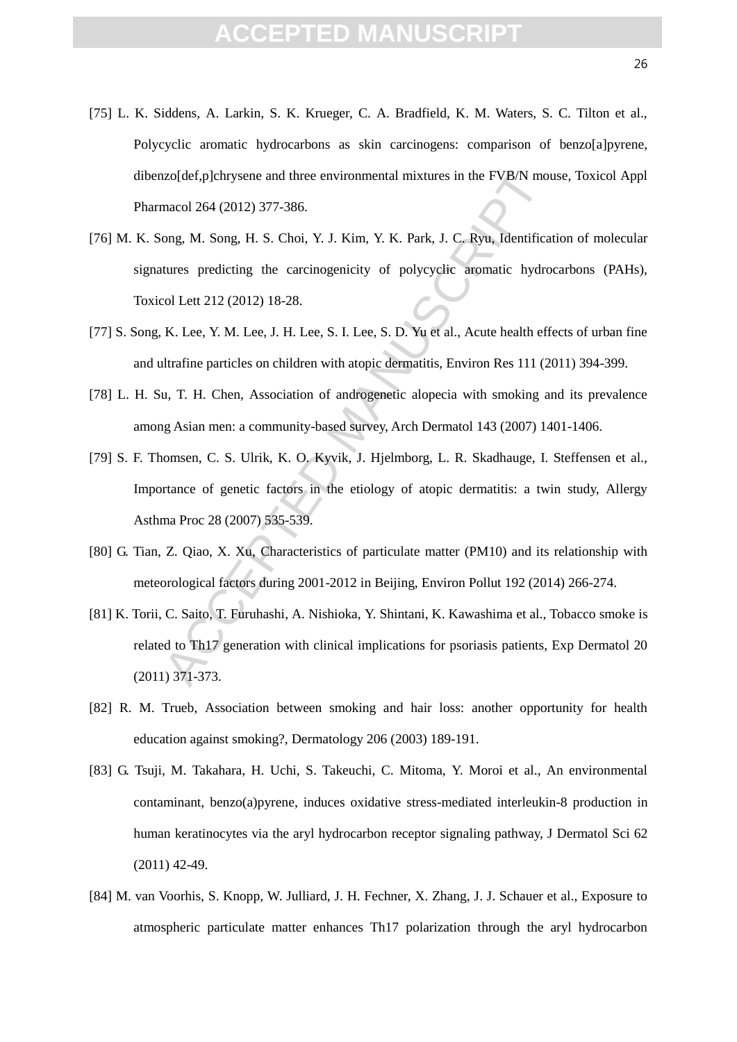- [75] L. K. Siddens, A. Larkin, S. K. Krueger, C. A. Bradfield, K. M. Waters, S. C. Tilton et al., Polycyclic aromatic hydrocarbons as skin carcinogens: comparison of benzo[a]pyrene, dibenzo[def,p]chrysene and three environmental mixtures in the FVB/N mouse, Toxicol Appl Pharmacol 264 (2012) 377-386.
- izoldef, plchrysene and three environmental mixtures in the FVB/N mot<br>macol 264 (2012) 377-386.<br>ong, M. Song, H. S. Choi, Y. J. Kim, Y. K. Park, J. C. Ryu, Identifica<br>tures predicting the carcinogenicity of polycyclic arom [76] M. K. Song, M. Song, H. S. Choi, Y. J. Kim, Y. K. Park, J. C. Ryu, Identification of molecular signatures predicting the carcinogenicity of polycyclic aromatic hydrocarbons (PAHs), Toxicol Lett 212 (2012) 18-28.
- [77] S. Song, K. Lee, Y. M. Lee, J. H. Lee, S. I. Lee, S. D. Yu et al., Acute health effects of urban fine and ultrafine particles on children with atopic dermatitis, Environ Res 111 (2011) 394-399.
- [78] L. H. Su, T. H. Chen, Association of androgenetic alopecia with smoking and its prevalence among Asian men: a community-based survey, Arch Dermatol 143 (2007) 1401-1406.
- [79] S. F. Thomsen, C. S. Ulrik, K. O. Kyvik, J. Hjelmborg, L. R. Skadhauge, I. Steffensen et al., Importance of genetic factors in the etiology of atopic dermatitis: a twin study, Allergy Asthma Proc 28 (2007) 535-539.
- [80] G. Tian, Z. Qiao, X. Xu, Characteristics of particulate matter (PM10) and its relationship with meteorological factors during 2001-2012 in Beijing, Environ Pollut 192 (2014) 266-274.
- [81] K. Torii, C. Saito, T. Furuhashi, A. Nishioka, Y. Shintani, K. Kawashima et al., Tobacco smoke is related to Th17 generation with clinical implications for psoriasis patients, Exp Dermatol 20 (2011) 371-373.
- [82] R. M. Trueb, Association between smoking and hair loss: another opportunity for health education against smoking?, Dermatology 206 (2003) 189-191.
- [83] G. Tsuji, M. Takahara, H. Uchi, S. Takeuchi, C. Mitoma, Y. Moroi et al., An environmental contaminant, benzo(a)pyrene, induces oxidative stress-mediated interleukin-8 production in human keratinocytes via the aryl hydrocarbon receptor signaling pathway, J Dermatol Sci 62 (2011) 42-49.
- [84] M. van Voorhis, S. Knopp, W. Julliard, J. H. Fechner, X. Zhang, J. J. Schauer et al., Exposure to atmospheric particulate matter enhances Th17 polarization through the aryl hydrocarbon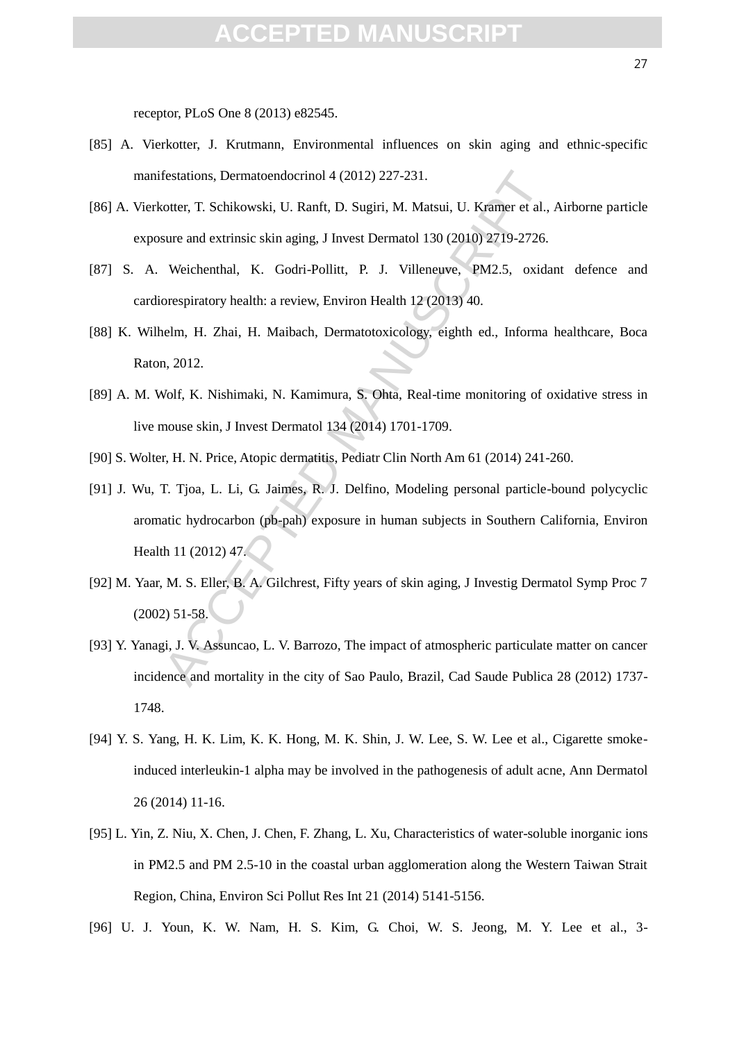#### FPTED MANUS

receptor, PLoS One 8 (2013) e82545.

- [85] A. Vierkotter, J. Krutmann, Environmental influences on skin aging and ethnic-specific manifestations, Dermatoendocrinol 4 (2012) 227-231.
- [86] A. Vierkotter, T. Schikowski, U. Ranft, D. Sugiri, M. Matsui, U. Kramer et al., Airborne particle exposure and extrinsic skin aging, J Invest Dermatol 130 (2010) 2719-2726.
- [87] S. A. Weichenthal, K. Godri-Pollitt, P. J. Villeneuve, PM2.5, oxidant defence and cardiorespiratory health: a review, Environ Health 12 (2013) 40.
- [88] K. Wilhelm, H. Zhai, H. Maibach, Dermatotoxicology, eighth ed., Informa healthcare, Boca Raton, 2012.
- [89] A. M. Wolf, K. Nishimaki, N. Kamimura, S. Ohta, Real-time monitoring of oxidative stress in live mouse skin, J Invest Dermatol 134 (2014) 1701-1709.
- [90] S. Wolter, H. N. Price, Atopic dermatitis, Pediatr Clin North Am 61 (2014) 241-260.
- festations, Dermatoendocrinol 4 (2012) 227-231.<br>
cotter, T. Schikowski, U. Ranft, D. Sugiri, M. Matsui, U. Kramer et al.,<br>
sure and extrinsic skin aging, J Invest Dermatol 130 (2010) 2719-2726.<br>
Weichenthal, K. Godri-Polli [91] J. Wu, T. Tjoa, L. Li, G. Jaimes, R. J. Delfino, Modeling personal particle-bound polycyclic aromatic hydrocarbon (pb-pah) exposure in human subjects in Southern California, Environ Health 11 (2012) 47.
- [92] M. Yaar, M. S. Eller, B. A. Gilchrest, Fifty years of skin aging, J Investig Dermatol Symp Proc 7 (2002) 51-58.
- [93] Y. Yanagi, J. V. Assuncao, L. V. Barrozo, The impact of atmospheric particulate matter on cancer incidence and mortality in the city of Sao Paulo, Brazil, Cad Saude Publica 28 (2012) 1737- 1748.
- [94] Y. S. Yang, H. K. Lim, K. K. Hong, M. K. Shin, J. W. Lee, S. W. Lee et al., Cigarette smokeinduced interleukin-1 alpha may be involved in the pathogenesis of adult acne, Ann Dermatol 26 (2014) 11-16.
- [95] L. Yin, Z. Niu, X. Chen, J. Chen, F. Zhang, L. Xu, Characteristics of water-soluble inorganic ions in PM2.5 and PM 2.5-10 in the coastal urban agglomeration along the Western Taiwan Strait Region, China, Environ Sci Pollut Res Int 21 (2014) 5141-5156.
- [96] U. J. Youn, K. W. Nam, H. S. Kim, G. Choi, W. S. Jeong, M. Y. Lee et al., 3-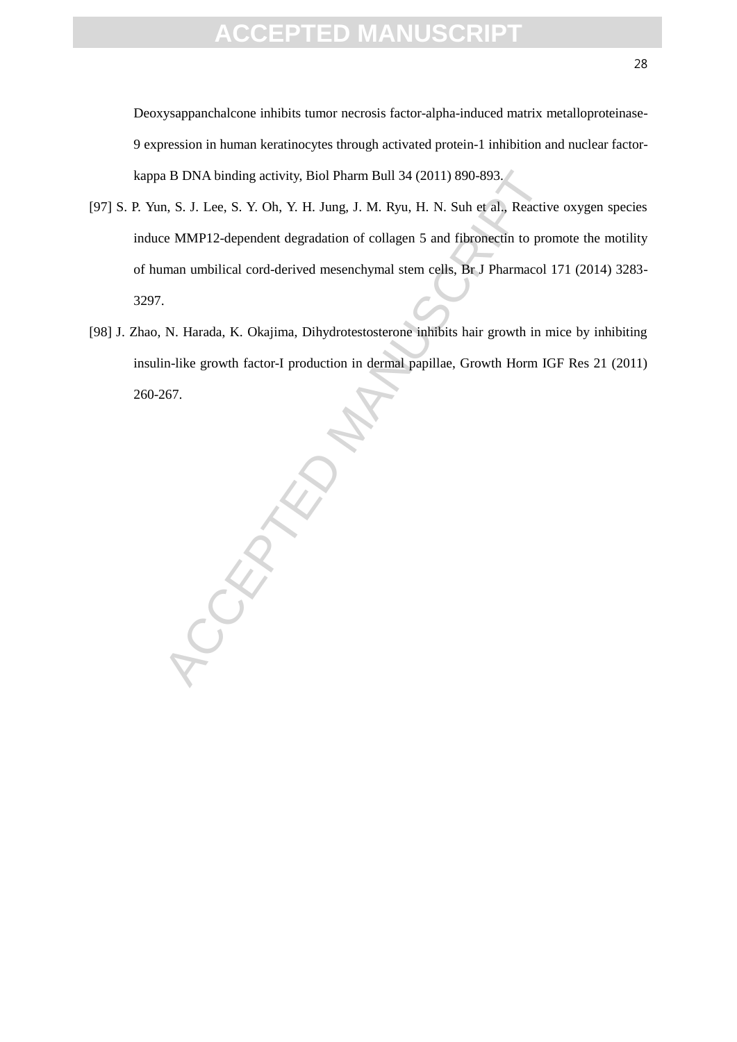Deoxysappanchalcone inhibits tumor necrosis factor-alpha-induced matrix metalloproteinase-9 expression in human keratinocytes through activated protein-1 inhibition and nuclear factorkappa B DNA binding activity, Biol Pharm Bull 34 (2011) 890-893.

- [97] S. P. Yun, S. J. Lee, S. Y. Oh, Y. H. Jung, J. M. Ryu, H. N. Suh et al., Reactive oxygen species induce MMP12-dependent degradation of collagen 5 and fibronectin to promote the motility of human umbilical cord-derived mesenchymal stem cells, Br J Pharmacol 171 (2014) 3283- 3297.
- [98] J. Zhao, N. Harada, K. Okajima, Dihydrotestosterone inhibits hair growth in mice by inhibiting insulin-like growth factor-I production in dermal papillae, Growth Horm IGF Res 21 (2011) 260-267.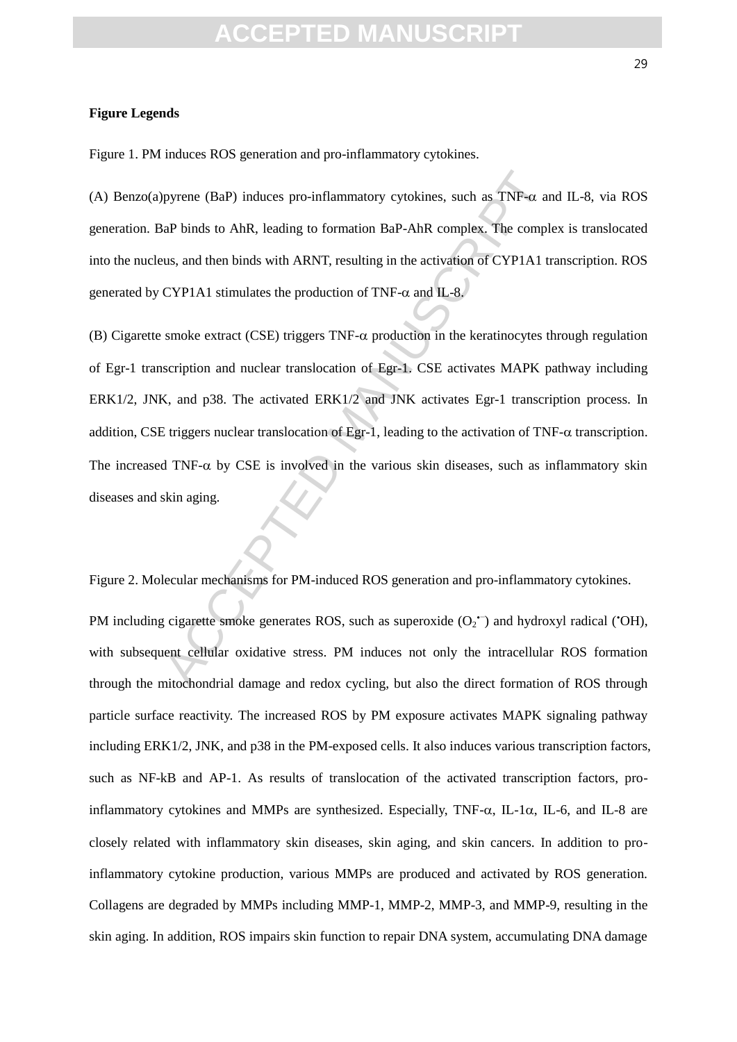### **FPTED MANUS**

Figure 1. PM induces ROS generation and pro-inflammatory cytokines.

(A) Benzo(a)pyrene (BaP) induces pro-inflammatory cytokines, such as TNF- $\alpha$  and IL-8, via ROS generation. BaP binds to AhR, leading to formation BaP-AhR complex. The complex is translocated into the nucleus, and then binds with ARNT, resulting in the activation of CYP1A1 transcription. ROS generated by CYP1A1 stimulates the production of TNF- $\alpha$  and IL-8.

pyrene (BaP) induces pro-inflammatory cytokines, such as TNF- $\alpha$  are and the binds to AhR, leading to formation BaP-AhR complex. The complex and then binds with ARNT, resulting in the activation of CYP1A1 to CYP1A1 stimu (B) Cigarette smoke extract (CSE) triggers  $TNF-\alpha$  production in the keratinocytes through regulation of Egr-1 transcription and nuclear translocation of Egr-1. CSE activates MAPK pathway including ERK1/2, JNK, and p38. The activated ERK1/2 and JNK activates Egr-1 transcription process. In addition, CSE triggers nuclear translocation of Egr-1, leading to the activation of TNF- $\alpha$  transcription. The increased TNF- $\alpha$  by CSE is involved in the various skin diseases, such as inflammatory skin diseases and skin aging.

Figure 2. Molecular mechanisms for PM-induced ROS generation and pro-inflammatory cytokines.

PM including cigarette smoke generates ROS, such as superoxide  $(O_2$ <sup>+</sup>) and hydroxyl radical ('OH), with subsequent cellular oxidative stress. PM induces not only the intracellular ROS formation through the mitochondrial damage and redox cycling, but also the direct formation of ROS through particle surface reactivity. The increased ROS by PM exposure activates MAPK signaling pathway including ERK1/2, JNK, and p38 in the PM-exposed cells. It also induces various transcription factors, such as NF-kB and AP-1. As results of translocation of the activated transcription factors, proinflammatory cytokines and MMPs are synthesized. Especially,  $TNF-\alpha$ , IL-1 $\alpha$ , IL-6, and IL-8 are closely related with inflammatory skin diseases, skin aging, and skin cancers. In addition to proinflammatory cytokine production, various MMPs are produced and activated by ROS generation. Collagens are degraded by MMPs including MMP-1, MMP-2, MMP-3, and MMP-9, resulting in the skin aging. In addition, ROS impairs skin function to repair DNA system, accumulating DNA damage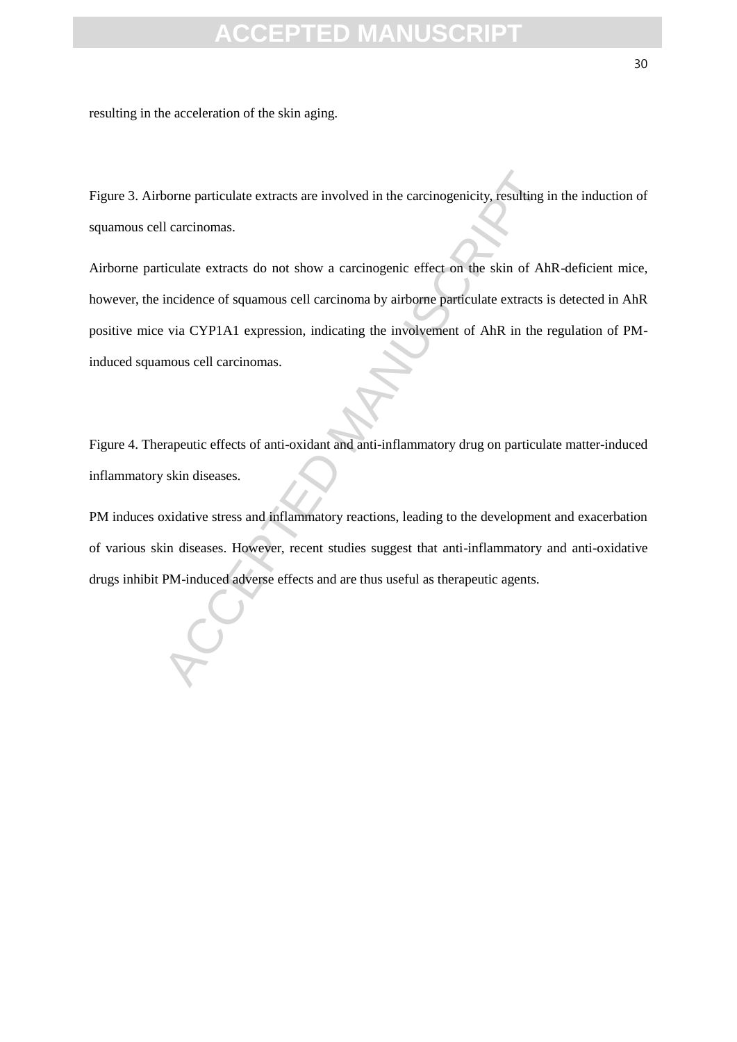resulting in the acceleration of the skin aging.

Figure 3. Airborne particulate extracts are involved in the carcinogenicity, resulting in the induction of squamous cell carcinomas.

borne particulate extracts are involved in the carcinogenicity, resulting in<br>a later correlate extracts do not show a carcinogenic effect on the skin of Ahi<br>incidence of squamous cell carcinoma by airborne particulate extr Airborne particulate extracts do not show a carcinogenic effect on the skin of AhR-deficient mice, however, the incidence of squamous cell carcinoma by airborne particulate extracts is detected in AhR positive mice via CYP1A1 expression, indicating the involvement of AhR in the regulation of PMinduced squamous cell carcinomas.

Figure 4. Therapeutic effects of anti-oxidant and anti-inflammatory drug on particulate matter-induced inflammatory skin diseases.

PM induces oxidative stress and inflammatory reactions, leading to the development and exacerbation of various skin diseases. However, recent studies suggest that anti-inflammatory and anti-oxidative drugs inhibit PM-induced adverse effects and are thus useful as therapeutic agents.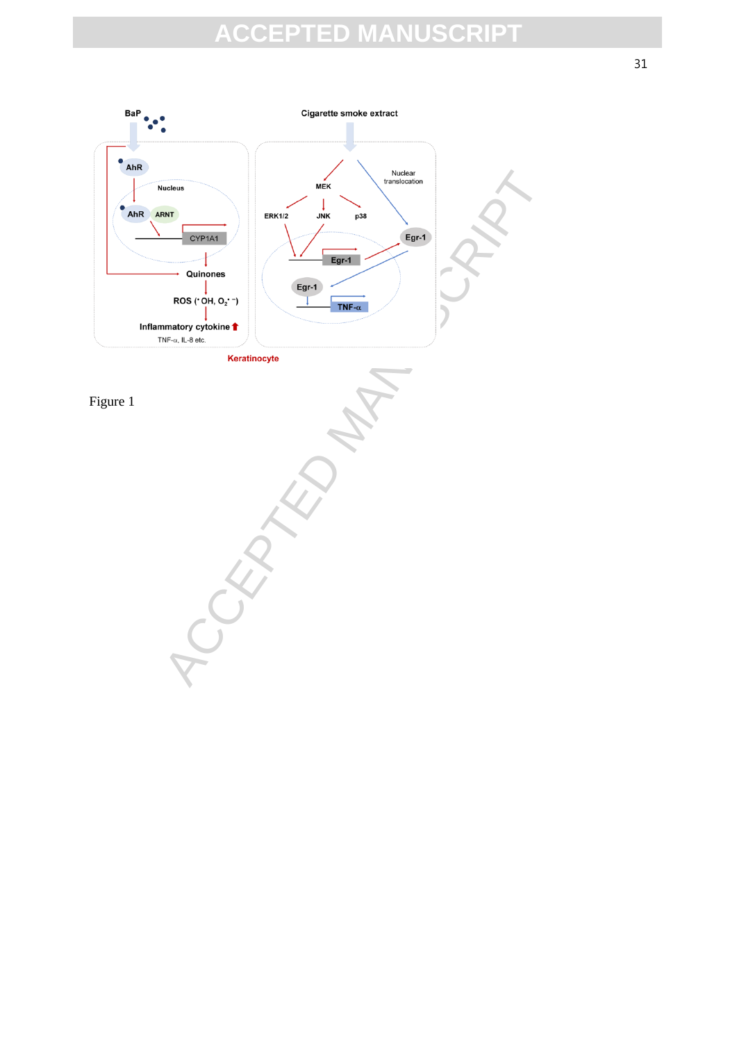

31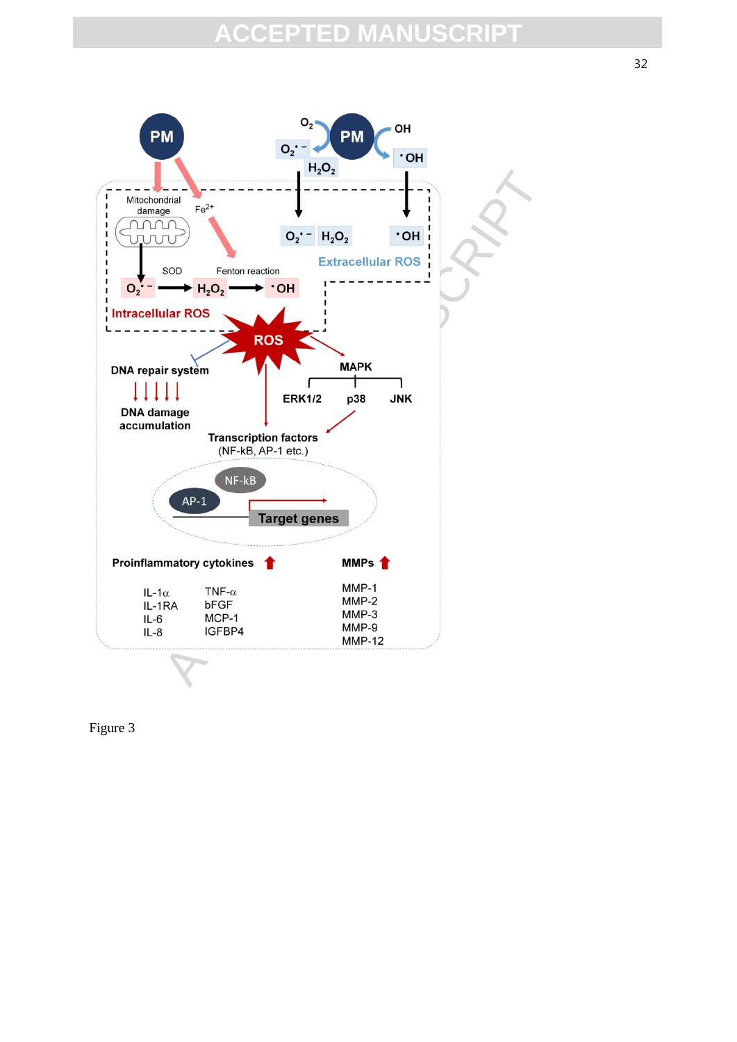

Figure 3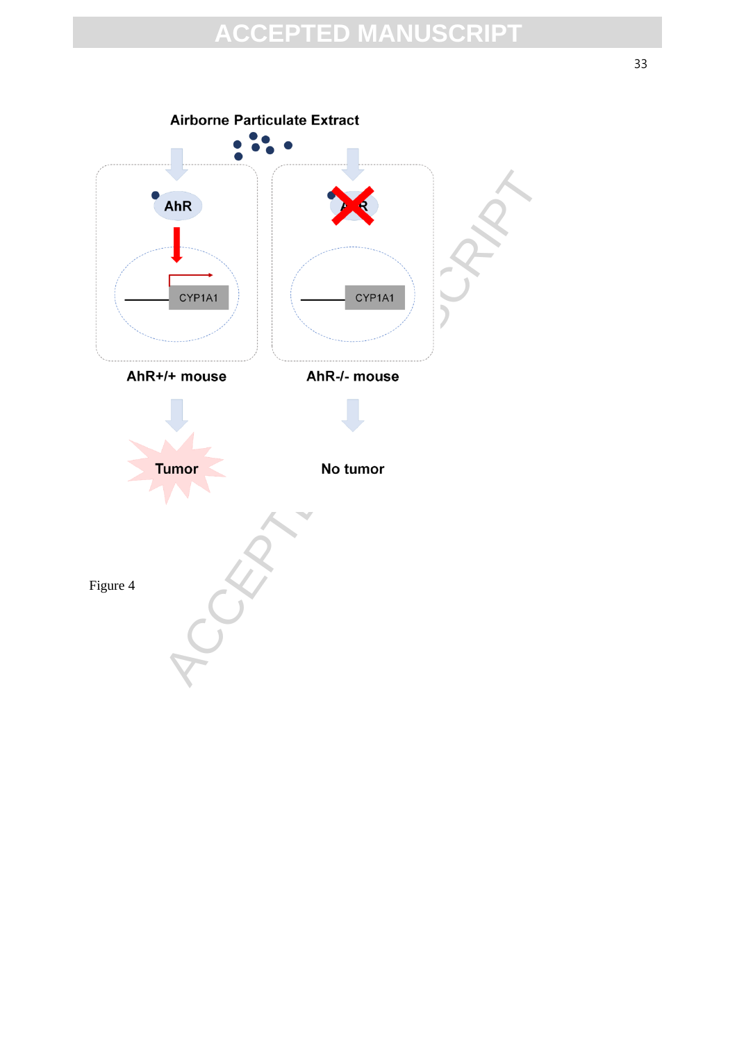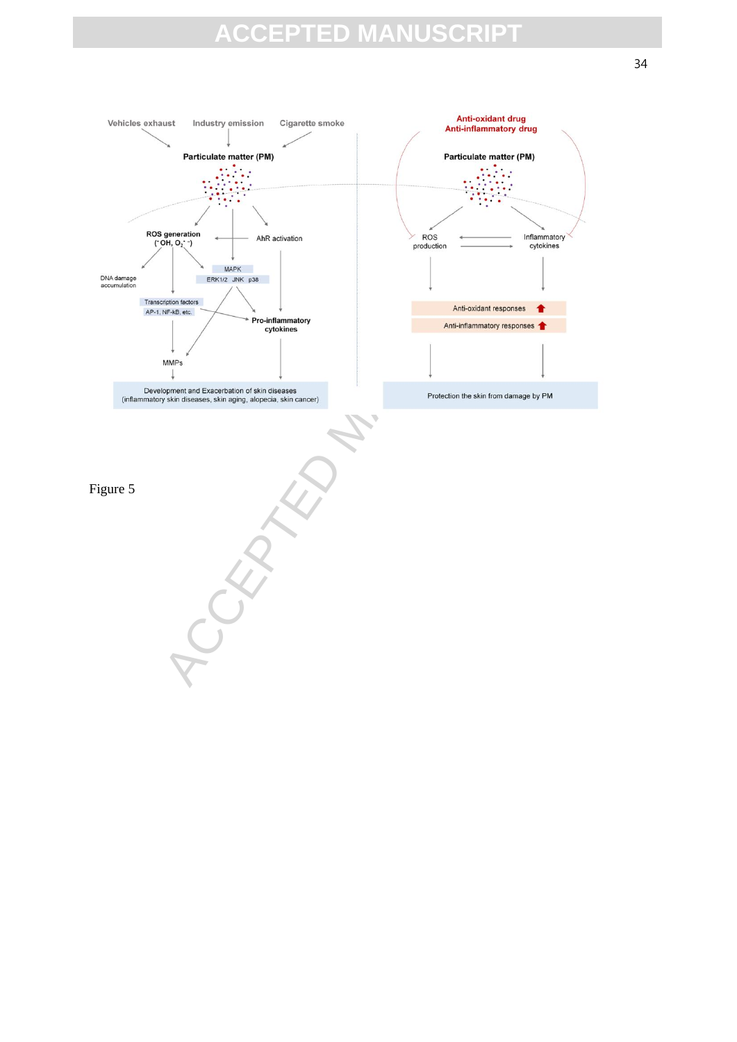